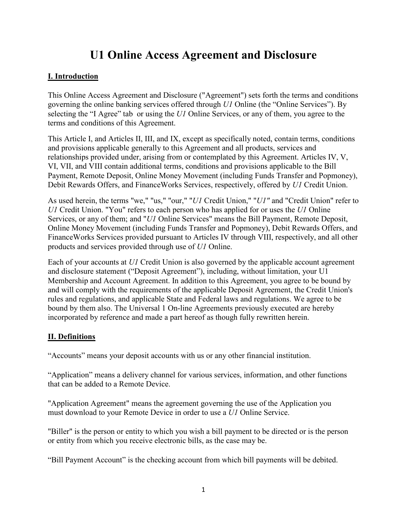# **U1 Online Access Agreement and Disclosure**

### **I. Introduction**

This Online Access Agreement and Disclosure ("Agreement") sets forth the terms and conditions governing the online banking services offered through *U1* Online (the "Online Services"). By selecting the "I Agree" tab or using the *U1* Online Services, or any of them, you agree to the terms and conditions of this Agreement.

This Article I, and Articles II, III, and IX, except as specifically noted, contain terms, conditions and provisions applicable generally to this Agreement and all products, services and relationships provided under, arising from or contemplated by this Agreement. Articles IV, V, VI, VII, and VIII contain additional terms, conditions and provisions applicable to the Bill Payment, Remote Deposit, Online Money Movement (including Funds Transfer and Popmoney), Debit Rewards Offers, and FinanceWorks Services, respectively, offered by *U1* Credit Union.

As used herein, the terms "we," "us," "our," "*U1* Credit Union," "*U1"* and "Credit Union" refer to *U1* Credit Union. "You" refers to each person who has applied for or uses the *U1* Online Services, or any of them; and "*U1* Online Services" means the Bill Payment, Remote Deposit, Online Money Movement (including Funds Transfer and Popmoney), Debit Rewards Offers, and FinanceWorks Services provided pursuant to Articles IV through VIII, respectively, and all other products and services provided through use of *U1* Online.

Each of your accounts at *U1* Credit Union is also governed by the applicable account agreement and disclosure statement ("Deposit Agreement"), including, without limitation, your U1 Membership and Account Agreement. In addition to this Agreement, you agree to be bound by and will comply with the requirements of the applicable Deposit Agreement, the Credit Union's rules and regulations, and applicable State and Federal laws and regulations. We agree to be bound by them also. The Universal 1 On-line Agreements previously executed are hereby incorporated by reference and made a part hereof as though fully rewritten herein.

### **II. Definitions**

"Accounts" means your deposit accounts with us or any other financial institution.

"Application" means a delivery channel for various services, information, and other functions that can be added to a Remote Device.

"Application Agreement" means the agreement governing the use of the Application you must download to your Remote Device in order to use a *U1* Online Service.

"Biller" is the person or entity to which you wish a bill payment to be directed or is the person or entity from which you receive electronic bills, as the case may be.

"Bill Payment Account" is the checking account from which bill payments will be debited.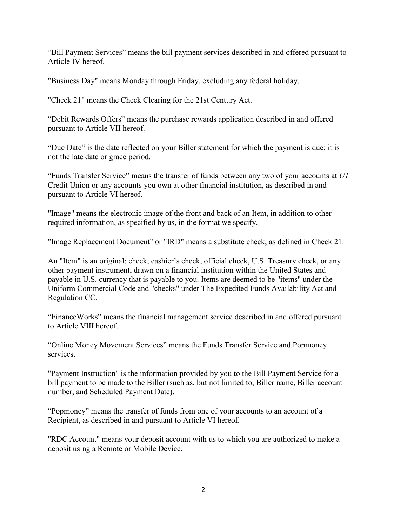"Bill Payment Services" means the bill payment services described in and offered pursuant to Article IV hereof.

"Business Day" means Monday through Friday, excluding any federal holiday.

"Check 21" means the Check Clearing for the 21st Century Act.

"Debit Rewards Offers" means the purchase rewards application described in and offered pursuant to Article VII hereof.

"Due Date" is the date reflected on your Biller statement for which the payment is due; it is not the late date or grace period.

"Funds Transfer Service" means the transfer of funds between any two of your accounts at *U1* Credit Union or any accounts you own at other financial institution, as described in and pursuant to Article VI hereof.

"Image" means the electronic image of the front and back of an Item, in addition to other required information, as specified by us, in the format we specify.

"Image Replacement Document" or "IRD" means a substitute check, as defined in Check 21.

An "Item" is an original: check, cashier's check, official check, U.S. Treasury check, or any other payment instrument, drawn on a financial institution within the United States and payable in U.S. currency that is payable to you. Items are deemed to be "items" under the Uniform Commercial Code and "checks" under The Expedited Funds Availability Act and Regulation CC.

"FinanceWorks" means the financial management service described in and offered pursuant to Article VIII hereof.

"Online Money Movement Services" means the Funds Transfer Service and Popmoney services.

"Payment Instruction" is the information provided by you to the Bill Payment Service for a bill payment to be made to the Biller (such as, but not limited to, Biller name, Biller account number, and Scheduled Payment Date).

"Popmoney" means the transfer of funds from one of your accounts to an account of a Recipient, as described in and pursuant to Article VI hereof.

"RDC Account" means your deposit account with us to which you are authorized to make a deposit using a Remote or Mobile Device.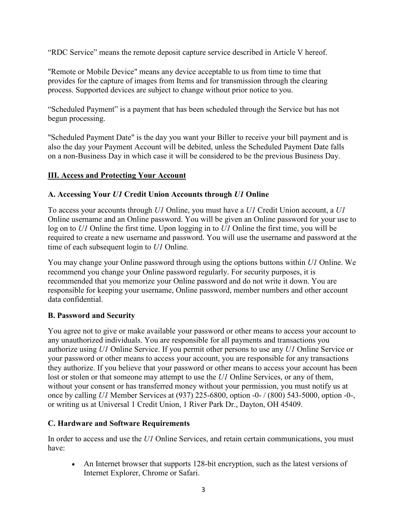"RDC Service" means the remote deposit capture service described in Article V hereof.

"Remote or Mobile Device" means any device acceptable to us from time to time that provides for the capture of images from Items and for transmission through the clearing process. Supported devices are subject to change without prior notice to you.

"Scheduled Payment" is a payment that has been scheduled through the Service but has not begun processing.

"Scheduled Payment Date" is the day you want your Biller to receive your bill payment and is also the day your Payment Account will be debited, unless the Scheduled Payment Date falls on a non-Business Day in which case it will be considered to be the previous Business Day.

#### **III. Access and Protecting Your Account**

#### **A. Accessing Your** *U1* **Credit Union Accounts through** *U1* **Online**

To access your accounts through *U1* Online, you must have a *U1* Credit Union account, a *U1* Online username and an Online password. You will be given an Online password for your use to log on to *U1* Online the first time. Upon logging in to *U1* Online the first time, you will be required to create a new username and password. You will use the username and password at the time of each subsequent login to *U1* Online.

You may change your Online password through using the options buttons within *U1* Online. We recommend you change your Online password regularly. For security purposes, it is recommended that you memorize your Online password and do not write it down. You are responsible for keeping your username, Online password, member numbers and other account data confidential.

#### **B. Password and Security**

You agree not to give or make available your password or other means to access your account to any unauthorized individuals. You are responsible for all payments and transactions you authorize using *U1* Online Service. If you permit other persons to use any *U1* Online Service or your password or other means to access your account, you are responsible for any transactions they authorize. If you believe that your password or other means to access your account has been lost or stolen or that someone may attempt to use the *U1* Online Services, or any of them, without your consent or has transferred money without your permission, you must notify us at once by calling *U1* Member Services at (937) 225-6800, option -0- / (800) 543-5000, option -0-, or writing us at Universal 1 Credit Union, 1 River Park Dr., Dayton, OH 45409.

#### **C. Hardware and Software Requirements**

In order to access and use the *U1* Online Services, and retain certain communications, you must have:

• An Internet browser that supports 128-bit encryption, such as the latest versions of Internet Explorer, Chrome or Safari.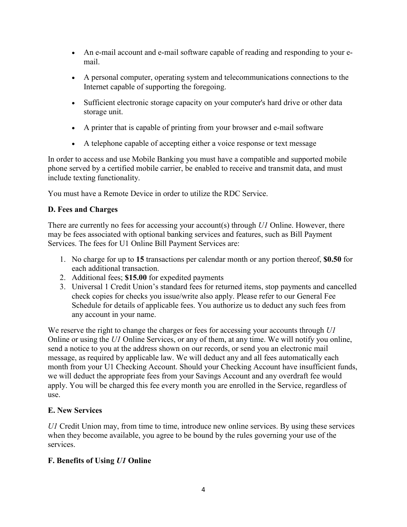- An e-mail account and e-mail software capable of reading and responding to your email.
- A personal computer, operating system and telecommunications connections to the Internet capable of supporting the foregoing.
- Sufficient electronic storage capacity on your computer's hard drive or other data storage unit.
- A printer that is capable of printing from your browser and e-mail software
- A telephone capable of accepting either a voice response or text message

In order to access and use Mobile Banking you must have a compatible and supported mobile phone served by a certified mobile carrier, be enabled to receive and transmit data, and must include texting functionality.

You must have a Remote Device in order to utilize the RDC Service.

### **D. Fees and Charges**

There are currently no fees for accessing your account(s) through *U1* Online. However, there may be fees associated with optional banking services and features, such as Bill Payment Services. The fees for U1 Online Bill Payment Services are:

- 1. No charge for up to **15** transactions per calendar month or any portion thereof, **\$0.50** for each additional transaction.
- 2. Additional fees; **\$15.00** for expedited payments
- 3. Universal 1 Credit Union's standard fees for returned items, stop payments and cancelled check copies for checks you issue/write also apply. Please refer to our General Fee Schedule for details of applicable fees. You authorize us to deduct any such fees from any account in your name.

We reserve the right to change the charges or fees for accessing your accounts through *U1* Online or using the *U1* Online Services, or any of them, at any time. We will notify you online, send a notice to you at the address shown on our records, or send you an electronic mail message, as required by applicable law. We will deduct any and all fees automatically each month from your U1 Checking Account. Should your Checking Account have insufficient funds, we will deduct the appropriate fees from your Savings Account and any overdraft fee would apply. You will be charged this fee every month you are enrolled in the Service, regardless of use.

### **E. New Services**

*U1* Credit Union may, from time to time, introduce new online services. By using these services when they become available, you agree to be bound by the rules governing your use of the services.

### **F. Benefits of Using** *U1* **Online**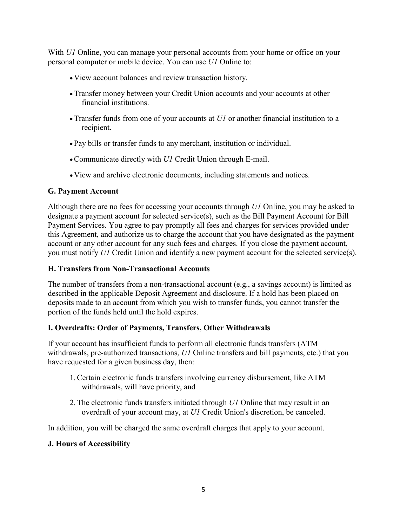With *U1* Online, you can manage your personal accounts from your home or office on your personal computer or mobile device. You can use *U1* Online to:

- View account balances and review transaction history.
- •Transfer money between your Credit Union accounts and your accounts at other financial institutions.
- •Transfer funds from one of your accounts at *U1* or another financial institution to a recipient.
- Pay bills or transfer funds to any merchant, institution or individual.
- •Communicate directly with *U1* Credit Union through E-mail.
- View and archive electronic documents, including statements and notices.

### **G. Payment Account**

Although there are no fees for accessing your accounts through *U1* Online, you may be asked to designate a payment account for selected service(s), such as the Bill Payment Account for Bill Payment Services. You agree to pay promptly all fees and charges for services provided under this Agreement, and authorize us to charge the account that you have designated as the payment account or any other account for any such fees and charges. If you close the payment account, you must notify *U1* Credit Union and identify a new payment account for the selected service(s).

### **H. Transfers from Non-Transactional Accounts**

The number of transfers from a non-transactional account (e.g., a savings account) is limited as described in the applicable Deposit Agreement and disclosure. If a hold has been placed on deposits made to an account from which you wish to transfer funds, you cannot transfer the portion of the funds held until the hold expires.

### **I. Overdrafts: Order of Payments, Transfers, Other Withdrawals**

If your account has insufficient funds to perform all electronic funds transfers (ATM withdrawals, pre-authorized transactions, *U1* Online transfers and bill payments, etc.) that you have requested for a given business day, then:

- 1.Certain electronic funds transfers involving currency disbursement, like ATM withdrawals, will have priority, and
- 2.The electronic funds transfers initiated through *U1* Online that may result in an overdraft of your account may, at *U1* Credit Union's discretion, be canceled.

In addition, you will be charged the same overdraft charges that apply to your account.

### **J. Hours of Accessibility**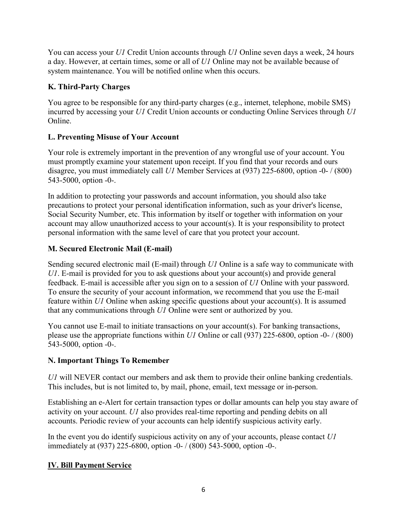You can access your *U1* Credit Union accounts through *U1* Online seven days a week, 24 hours a day. However, at certain times, some or all of *U1* Online may not be available because of system maintenance. You will be notified online when this occurs.

### **K. Third-Party Charges**

You agree to be responsible for any third-party charges (e.g., internet, telephone, mobile SMS) incurred by accessing your *U1* Credit Union accounts or conducting Online Services through *U1* Online.

# **L. Preventing Misuse of Your Account**

Your role is extremely important in the prevention of any wrongful use of your account. You must promptly examine your statement upon receipt. If you find that your records and ours disagree, you must immediately call *U1* Member Services at (937) 225-6800, option -0- / (800) 543-5000, option -0-.

In addition to protecting your passwords and account information, you should also take precautions to protect your personal identification information, such as your driver's license, Social Security Number, etc. This information by itself or together with information on your account may allow unauthorized access to your account(s). It is your responsibility to protect personal information with the same level of care that you protect your account.

# **M. Secured Electronic Mail (E-mail)**

Sending secured electronic mail (E-mail) through *U1* Online is a safe way to communicate with *U1*. E-mail is provided for you to ask questions about your account(s) and provide general feedback. E-mail is accessible after you sign on to a session of *U1* Online with your password. To ensure the security of your account information, we recommend that you use the E-mail feature within *U1* Online when asking specific questions about your account(s). It is assumed that any communications through *U1* Online were sent or authorized by you.

You cannot use E-mail to initiate transactions on your account(s). For banking transactions, please use the appropriate functions within *U1* Online or call (937) 225-6800, option -0- / (800) 543-5000, option -0-.

# **N. Important Things To Remember**

*U1* will NEVER contact our members and ask them to provide their online banking credentials. This includes, but is not limited to, by mail, phone, email, text message or in-person.

Establishing an e-Alert for certain transaction types or dollar amounts can help you stay aware of activity on your account. *U1* also provides real-time reporting and pending debits on all accounts. Periodic review of your accounts can help identify suspicious activity early.

In the event you do identify suspicious activity on any of your accounts, please contact *U1* immediately at (937) 225-6800, option -0- / (800) 543-5000, option -0-.

# **IV. Bill Payment Service**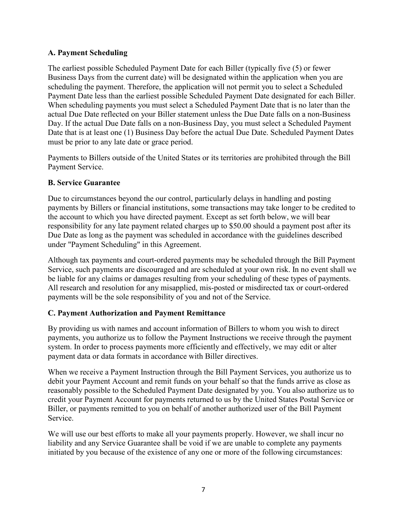### **A. Payment Scheduling**

The earliest possible Scheduled Payment Date for each Biller (typically five (5) or fewer Business Days from the current date) will be designated within the application when you are scheduling the payment. Therefore, the application will not permit you to select a Scheduled Payment Date less than the earliest possible Scheduled Payment Date designated for each Biller. When scheduling payments you must select a Scheduled Payment Date that is no later than the actual Due Date reflected on your Biller statement unless the Due Date falls on a non-Business Day. If the actual Due Date falls on a non-Business Day, you must select a Scheduled Payment Date that is at least one (1) Business Day before the actual Due Date. Scheduled Payment Dates must be prior to any late date or grace period.

Payments to Billers outside of the United States or its territories are prohibited through the Bill Payment Service.

### **B. Service Guarantee**

Due to circumstances beyond the our control, particularly delays in handling and posting payments by Billers or financial institutions, some transactions may take longer to be credited to the account to which you have directed payment. Except as set forth below, we will bear responsibility for any late payment related charges up to \$50.00 should a payment post after its Due Date as long as the payment was scheduled in accordance with the guidelines described under "Payment Scheduling" in this Agreement.

Although tax payments and court-ordered payments may be scheduled through the Bill Payment Service, such payments are discouraged and are scheduled at your own risk. In no event shall we be liable for any claims or damages resulting from your scheduling of these types of payments. All research and resolution for any misapplied, mis-posted or misdirected tax or court-ordered payments will be the sole responsibility of you and not of the Service.

### **C. Payment Authorization and Payment Remittance**

By providing us with names and account information of Billers to whom you wish to direct payments, you authorize us to follow the Payment Instructions we receive through the payment system. In order to process payments more efficiently and effectively, we may edit or alter payment data or data formats in accordance with Biller directives.

When we receive a Payment Instruction through the Bill Payment Services, you authorize us to debit your Payment Account and remit funds on your behalf so that the funds arrive as close as reasonably possible to the Scheduled Payment Date designated by you. You also authorize us to credit your Payment Account for payments returned to us by the United States Postal Service or Biller, or payments remitted to you on behalf of another authorized user of the Bill Payment Service.

We will use our best efforts to make all your payments properly. However, we shall incur no liability and any Service Guarantee shall be void if we are unable to complete any payments initiated by you because of the existence of any one or more of the following circumstances: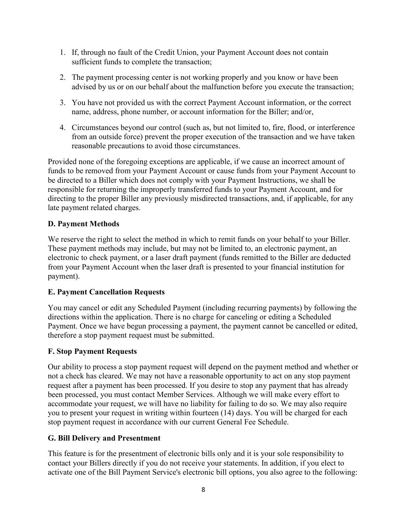- 1. If, through no fault of the Credit Union, your Payment Account does not contain sufficient funds to complete the transaction;
- 2. The payment processing center is not working properly and you know or have been advised by us or on our behalf about the malfunction before you execute the transaction;
- 3. You have not provided us with the correct Payment Account information, or the correct name, address, phone number, or account information for the Biller; and/or,
- 4. Circumstances beyond our control (such as, but not limited to, fire, flood, or interference from an outside force) prevent the proper execution of the transaction and we have taken reasonable precautions to avoid those circumstances.

Provided none of the foregoing exceptions are applicable, if we cause an incorrect amount of funds to be removed from your Payment Account or cause funds from your Payment Account to be directed to a Biller which does not comply with your Payment Instructions, we shall be responsible for returning the improperly transferred funds to your Payment Account, and for directing to the proper Biller any previously misdirected transactions, and, if applicable, for any late payment related charges.

### **D. Payment Methods**

We reserve the right to select the method in which to remit funds on your behalf to your Biller. These payment methods may include, but may not be limited to, an electronic payment, an electronic to check payment, or a laser draft payment (funds remitted to the Biller are deducted from your Payment Account when the laser draft is presented to your financial institution for payment).

#### **E. Payment Cancellation Requests**

You may cancel or edit any Scheduled Payment (including recurring payments) by following the directions within the application. There is no charge for canceling or editing a Scheduled Payment. Once we have begun processing a payment, the payment cannot be cancelled or edited, therefore a stop payment request must be submitted.

### **F. Stop Payment Requests**

Our ability to process a stop payment request will depend on the payment method and whether or not a check has cleared. We may not have a reasonable opportunity to act on any stop payment request after a payment has been processed. If you desire to stop any payment that has already been processed, you must contact Member Services. Although we will make every effort to accommodate your request, we will have no liability for failing to do so. We may also require you to present your request in writing within fourteen (14) days. You will be charged for each stop payment request in accordance with our current General Fee Schedule.

### **G. Bill Delivery and Presentment**

This feature is for the presentment of electronic bills only and it is your sole responsibility to contact your Billers directly if you do not receive your statements. In addition, if you elect to activate one of the Bill Payment Service's electronic bill options, you also agree to the following: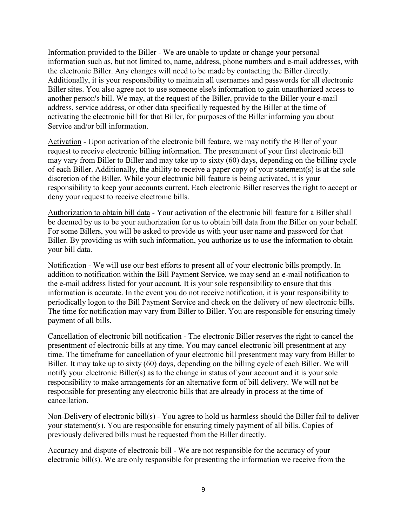Information provided to the Biller - We are unable to update or change your personal information such as, but not limited to, name, address, phone numbers and e-mail addresses, with the electronic Biller. Any changes will need to be made by contacting the Biller directly. Additionally, it is your responsibility to maintain all usernames and passwords for all electronic Biller sites. You also agree not to use someone else's information to gain unauthorized access to another person's bill. We may, at the request of the Biller, provide to the Biller your e-mail address, service address, or other data specifically requested by the Biller at the time of activating the electronic bill for that Biller, for purposes of the Biller informing you about Service and/or bill information.

Activation - Upon activation of the electronic bill feature, we may notify the Biller of your request to receive electronic billing information. The presentment of your first electronic bill may vary from Biller to Biller and may take up to sixty (60) days, depending on the billing cycle of each Biller. Additionally, the ability to receive a paper copy of your statement(s) is at the sole discretion of the Biller. While your electronic bill feature is being activated, it is your responsibility to keep your accounts current. Each electronic Biller reserves the right to accept or deny your request to receive electronic bills.

Authorization to obtain bill data - Your activation of the electronic bill feature for a Biller shall be deemed by us to be your authorization for us to obtain bill data from the Biller on your behalf. For some Billers, you will be asked to provide us with your user name and password for that Biller. By providing us with such information, you authorize us to use the information to obtain your bill data.

Notification - We will use our best efforts to present all of your electronic bills promptly. In addition to notification within the Bill Payment Service, we may send an e-mail notification to the e-mail address listed for your account. It is your sole responsibility to ensure that this information is accurate. In the event you do not receive notification, it is your responsibility to periodically logon to the Bill Payment Service and check on the delivery of new electronic bills. The time for notification may vary from Biller to Biller. You are responsible for ensuring timely payment of all bills.

Cancellation of electronic bill notification - The electronic Biller reserves the right to cancel the presentment of electronic bills at any time. You may cancel electronic bill presentment at any time. The timeframe for cancellation of your electronic bill presentment may vary from Biller to Biller. It may take up to sixty (60) days, depending on the billing cycle of each Biller. We will notify your electronic Biller(s) as to the change in status of your account and it is your sole responsibility to make arrangements for an alternative form of bill delivery. We will not be responsible for presenting any electronic bills that are already in process at the time of cancellation.

Non-Delivery of electronic bill(s) - You agree to hold us harmless should the Biller fail to deliver your statement(s). You are responsible for ensuring timely payment of all bills. Copies of previously delivered bills must be requested from the Biller directly.

Accuracy and dispute of electronic bill - We are not responsible for the accuracy of your electronic bill(s). We are only responsible for presenting the information we receive from the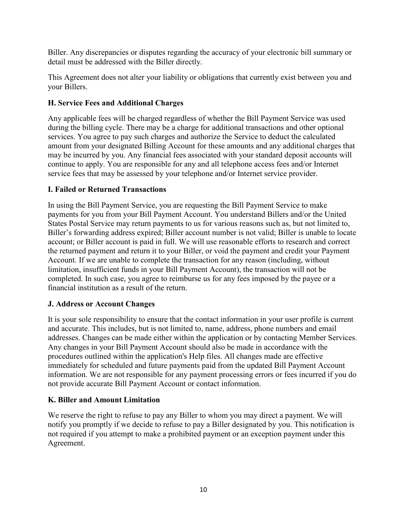Biller. Any discrepancies or disputes regarding the accuracy of your electronic bill summary or detail must be addressed with the Biller directly.

This Agreement does not alter your liability or obligations that currently exist between you and your Billers.

### **H. Service Fees and Additional Charges**

Any applicable fees will be charged regardless of whether the Bill Payment Service was used during the billing cycle. There may be a charge for additional transactions and other optional services. You agree to pay such charges and authorize the Service to deduct the calculated amount from your designated Billing Account for these amounts and any additional charges that may be incurred by you. Any financial fees associated with your standard deposit accounts will continue to apply. You are responsible for any and all telephone access fees and/or Internet service fees that may be assessed by your telephone and/or Internet service provider.

### **I. Failed or Returned Transactions**

In using the Bill Payment Service, you are requesting the Bill Payment Service to make payments for you from your Bill Payment Account. You understand Billers and/or the United States Postal Service may return payments to us for various reasons such as, but not limited to, Biller's forwarding address expired; Biller account number is not valid; Biller is unable to locate account; or Biller account is paid in full. We will use reasonable efforts to research and correct the returned payment and return it to your Biller, or void the payment and credit your Payment Account. If we are unable to complete the transaction for any reason (including, without limitation, insufficient funds in your Bill Payment Account), the transaction will not be completed. In such case, you agree to reimburse us for any fees imposed by the payee or a financial institution as a result of the return.

#### **J. Address or Account Changes**

It is your sole responsibility to ensure that the contact information in your user profile is current and accurate. This includes, but is not limited to, name, address, phone numbers and email addresses. Changes can be made either within the application or by contacting Member Services. Any changes in your Bill Payment Account should also be made in accordance with the procedures outlined within the application's Help files. All changes made are effective immediately for scheduled and future payments paid from the updated Bill Payment Account information. We are not responsible for any payment processing errors or fees incurred if you do not provide accurate Bill Payment Account or contact information.

#### **K. Biller and Amount Limitation**

We reserve the right to refuse to pay any Biller to whom you may direct a payment. We will notify you promptly if we decide to refuse to pay a Biller designated by you. This notification is not required if you attempt to make a prohibited payment or an exception payment under this Agreement.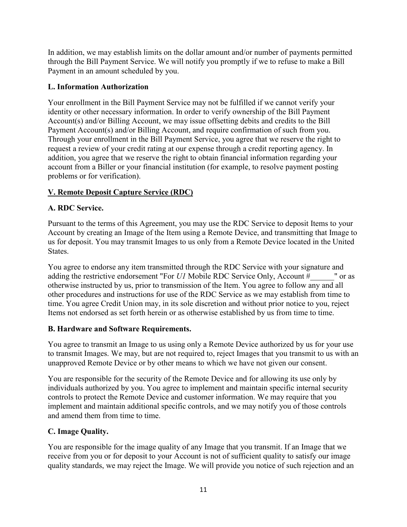In addition, we may establish limits on the dollar amount and/or number of payments permitted through the Bill Payment Service. We will notify you promptly if we to refuse to make a Bill Payment in an amount scheduled by you.

### **L. Information Authorization**

Your enrollment in the Bill Payment Service may not be fulfilled if we cannot verify your identity or other necessary information. In order to verify ownership of the Bill Payment Account(s) and/or Billing Account, we may issue offsetting debits and credits to the Bill Payment Account(s) and/or Billing Account, and require confirmation of such from you. Through your enrollment in the Bill Payment Service, you agree that we reserve the right to request a review of your credit rating at our expense through a credit reporting agency. In addition, you agree that we reserve the right to obtain financial information regarding your account from a Biller or your financial institution (for example, to resolve payment posting problems or for verification).

### **V. Remote Deposit Capture Service (RDC)**

### **A. RDC Service.**

Pursuant to the terms of this Agreement, you may use the RDC Service to deposit Items to your Account by creating an Image of the Item using a Remote Device, and transmitting that Image to us for deposit. You may transmit Images to us only from a Remote Device located in the United States.

You agree to endorse any item transmitted through the RDC Service with your signature and adding the restrictive endorsement "For *U1* Mobile RDC Service Only, Account  $\frac{1}{r}$  " or as otherwise instructed by us, prior to transmission of the Item. You agree to follow any and all other procedures and instructions for use of the RDC Service as we may establish from time to time. You agree Credit Union may, in its sole discretion and without prior notice to you, reject Items not endorsed as set forth herein or as otherwise established by us from time to time.

#### **B. Hardware and Software Requirements.**

You agree to transmit an Image to us using only a Remote Device authorized by us for your use to transmit Images. We may, but are not required to, reject Images that you transmit to us with an unapproved Remote Device or by other means to which we have not given our consent.

You are responsible for the security of the Remote Device and for allowing its use only by individuals authorized by you. You agree to implement and maintain specific internal security controls to protect the Remote Device and customer information. We may require that you implement and maintain additional specific controls, and we may notify you of those controls and amend them from time to time.

### **C. Image Quality.**

You are responsible for the image quality of any Image that you transmit. If an Image that we receive from you or for deposit to your Account is not of sufficient quality to satisfy our image quality standards, we may reject the Image. We will provide you notice of such rejection and an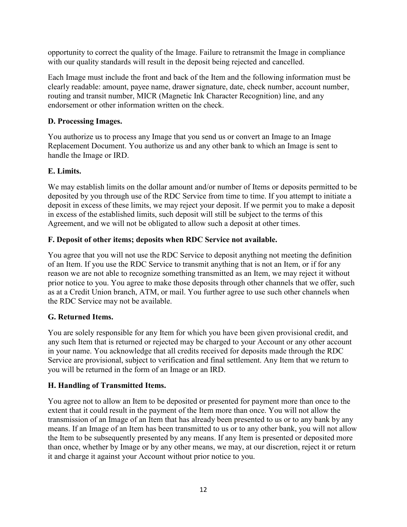opportunity to correct the quality of the Image. Failure to retransmit the Image in compliance with our quality standards will result in the deposit being rejected and cancelled.

Each Image must include the front and back of the Item and the following information must be clearly readable: amount, payee name, drawer signature, date, check number, account number, routing and transit number, MICR (Magnetic Ink Character Recognition) line, and any endorsement or other information written on the check.

### **D. Processing Images.**

You authorize us to process any Image that you send us or convert an Image to an Image Replacement Document. You authorize us and any other bank to which an Image is sent to handle the Image or IRD.

### **E. Limits.**

We may establish limits on the dollar amount and/or number of Items or deposits permitted to be deposited by you through use of the RDC Service from time to time. If you attempt to initiate a deposit in excess of these limits, we may reject your deposit. If we permit you to make a deposit in excess of the established limits, such deposit will still be subject to the terms of this Agreement, and we will not be obligated to allow such a deposit at other times.

### **F. Deposit of other items; deposits when RDC Service not available.**

You agree that you will not use the RDC Service to deposit anything not meeting the definition of an Item. If you use the RDC Service to transmit anything that is not an Item, or if for any reason we are not able to recognize something transmitted as an Item, we may reject it without prior notice to you. You agree to make those deposits through other channels that we offer, such as at a Credit Union branch, ATM, or mail. You further agree to use such other channels when the RDC Service may not be available.

### **G. Returned Items.**

You are solely responsible for any Item for which you have been given provisional credit, and any such Item that is returned or rejected may be charged to your Account or any other account in your name. You acknowledge that all credits received for deposits made through the RDC Service are provisional, subject to verification and final settlement. Any Item that we return to you will be returned in the form of an Image or an IRD.

# **H. Handling of Transmitted Items.**

You agree not to allow an Item to be deposited or presented for payment more than once to the extent that it could result in the payment of the Item more than once. You will not allow the transmission of an Image of an Item that has already been presented to us or to any bank by any means. If an Image of an Item has been transmitted to us or to any other bank, you will not allow the Item to be subsequently presented by any means. If any Item is presented or deposited more than once, whether by Image or by any other means, we may, at our discretion, reject it or return it and charge it against your Account without prior notice to you.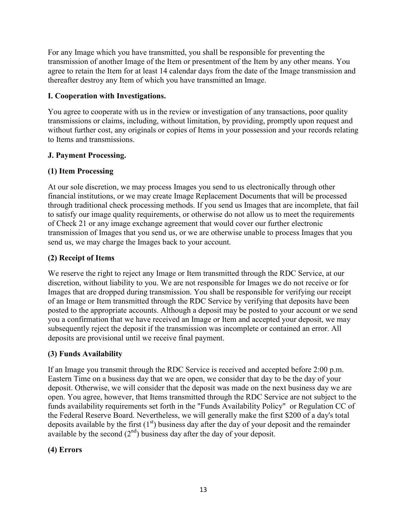For any Image which you have transmitted, you shall be responsible for preventing the transmission of another Image of the Item or presentment of the Item by any other means. You agree to retain the Item for at least 14 calendar days from the date of the Image transmission and thereafter destroy any Item of which you have transmitted an Image.

#### **I. Cooperation with Investigations.**

You agree to cooperate with us in the review or investigation of any transactions, poor quality transmissions or claims, including, without limitation, by providing, promptly upon request and without further cost, any originals or copies of Items in your possession and your records relating to Items and transmissions.

### **J. Payment Processing.**

### **(1) Item Processing**

At our sole discretion, we may process Images you send to us electronically through other financial institutions, or we may create Image Replacement Documents that will be processed through traditional check processing methods. If you send us Images that are incomplete, that fail to satisfy our image quality requirements, or otherwise do not allow us to meet the requirements of Check 21 or any image exchange agreement that would cover our further electronic transmission of Images that you send us, or we are otherwise unable to process Images that you send us, we may charge the Images back to your account.

### **(2) Receipt of Items**

We reserve the right to reject any Image or Item transmitted through the RDC Service, at our discretion, without liability to you. We are not responsible for Images we do not receive or for Images that are dropped during transmission. You shall be responsible for verifying our receipt of an Image or Item transmitted through the RDC Service by verifying that deposits have been posted to the appropriate accounts. Although a deposit may be posted to your account or we send you a confirmation that we have received an Image or Item and accepted your deposit, we may subsequently reject the deposit if the transmission was incomplete or contained an error. All deposits are provisional until we receive final payment.

### **(3) Funds Availability**

If an Image you transmit through the RDC Service is received and accepted before 2:00 p.m. Eastern Time on a business day that we are open, we consider that day to be the day of your deposit. Otherwise, we will consider that the deposit was made on the next business day we are open. You agree, however, that Items transmitted through the RDC Service are not subject to the funds availability requirements set forth in the "Funds Availability Policy" or Regulation CC of the Federal Reserve Board. Nevertheless, we will generally make the first \$200 of a day's total deposits available by the first  $(1<sup>st</sup>)$  business day after the day of your deposit and the remainder available by the second  $(2<sup>nd</sup>)$  business day after the day of your deposit.

### **(4) Errors**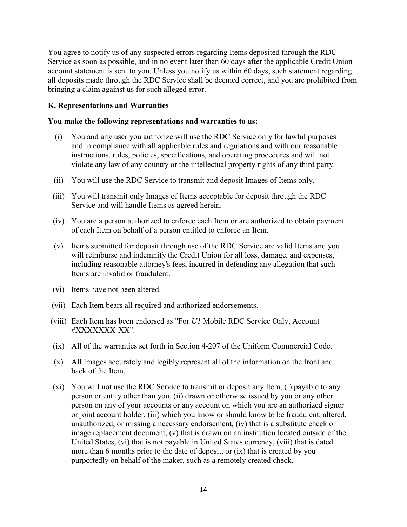You agree to notify us of any suspected errors regarding Items deposited through the RDC Service as soon as possible, and in no event later than 60 days after the applicable Credit Union account statement is sent to you. Unless you notify us within 60 days, such statement regarding all deposits made through the RDC Service shall be deemed correct, and you are prohibited from bringing a claim against us for such alleged error.

#### **K. Representations and Warranties**

#### **You make the following representations and warranties to us:**

- (i) You and any user you authorize will use the RDC Service only for lawful purposes and in compliance with all applicable rules and regulations and with our reasonable instructions, rules, policies, specifications, and operating procedures and will not violate any law of any country or the intellectual property rights of any third party.
- (ii) You will use the RDC Service to transmit and deposit Images of Items only.
- (iii) You will transmit only Images of Items acceptable for deposit through the RDC Service and will handle Items as agreed herein.
- (iv) You are a person authorized to enforce each Item or are authorized to obtain payment of each Item on behalf of a person entitled to enforce an Item.
- (v) Items submitted for deposit through use of the RDC Service are valid Items and you will reimburse and indemnify the Credit Union for all loss, damage, and expenses, including reasonable attorney's fees, incurred in defending any allegation that such Items are invalid or fraudulent.
- (vi) Items have not been altered.
- (vii) Each Item bears all required and authorized endorsements.
- (viii) Each Item has been endorsed as "For *U1* Mobile RDC Service Only, Account #XXXXXXX-XX".
- (ix) All of the warranties set forth in Section 4-207 of the Uniform Commercial Code.
- (x) All Images accurately and legibly represent all of the information on the front and back of the Item.
- (xi) You will not use the RDC Service to transmit or deposit any Item, (i) payable to any person or entity other than you, (ii) drawn or otherwise issued by you or any other person on any of your accounts or any account on which you are an authorized signer or joint account holder, (iii) which you know or should know to be fraudulent, altered, unauthorized, or missing a necessary endorsement, (iv) that is a substitute check or image replacement document, (v) that is drawn on an institution located outside of the United States, (vi) that is not payable in United States currency, (viii) that is dated more than 6 months prior to the date of deposit, or (ix) that is created by you purportedly on behalf of the maker, such as a remotely created check.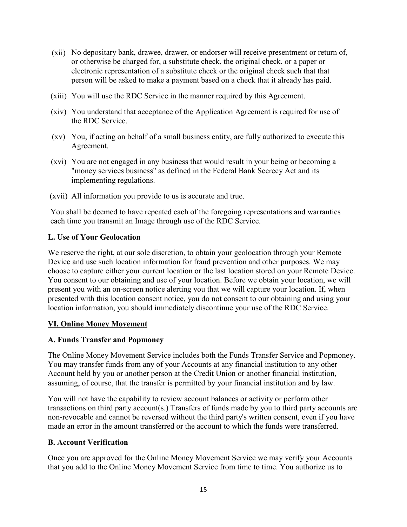- (xii) No depositary bank, drawee, drawer, or endorser will receive presentment or return of, or otherwise be charged for, a substitute check, the original check, or a paper or electronic representation of a substitute check or the original check such that that person will be asked to make a payment based on a check that it already has paid.
- (xiii) You will use the RDC Service in the manner required by this Agreement.
- (xiv) You understand that acceptance of the Application Agreement is required for use of the RDC Service.
- (xv) You, if acting on behalf of a small business entity, are fully authorized to execute this Agreement.
- (xvi) You are not engaged in any business that would result in your being or becoming a "money services business" as defined in the Federal Bank Secrecy Act and its implementing regulations.
- (xvii) All information you provide to us is accurate and true.

You shall be deemed to have repeated each of the foregoing representations and warranties each time you transmit an Image through use of the RDC Service.

#### **L. Use of Your Geolocation**

We reserve the right, at our sole discretion, to obtain your geolocation through your Remote Device and use such location information for fraud prevention and other purposes. We may choose to capture either your current location or the last location stored on your Remote Device. You consent to our obtaining and use of your location. Before we obtain your location, we will present you with an on-screen notice alerting you that we will capture your location. If, when presented with this location consent notice, you do not consent to our obtaining and using your location information, you should immediately discontinue your use of the RDC Service.

#### **VI. Online Money Movement**

#### **A. Funds Transfer and Popmoney**

The Online Money Movement Service includes both the Funds Transfer Service and Popmoney. You may transfer funds from any of your Accounts at any financial institution to any other Account held by you or another person at the Credit Union or another financial institution, assuming, of course, that the transfer is permitted by your financial institution and by law.

You will not have the capability to review account balances or activity or perform other transactions on third party account(s.) Transfers of funds made by you to third party accounts are non-revocable and cannot be reversed without the third party's written consent, even if you have made an error in the amount transferred or the account to which the funds were transferred.

#### **B. Account Verification**

Once you are approved for the Online Money Movement Service we may verify your Accounts that you add to the Online Money Movement Service from time to time. You authorize us to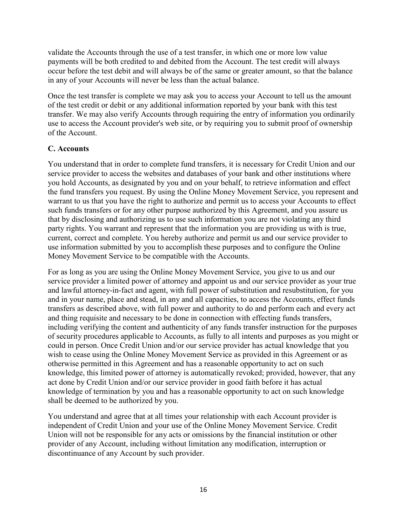validate the Accounts through the use of a test transfer, in which one or more low value payments will be both credited to and debited from the Account. The test credit will always occur before the test debit and will always be of the same or greater amount, so that the balance in any of your Accounts will never be less than the actual balance.

Once the test transfer is complete we may ask you to access your Account to tell us the amount of the test credit or debit or any additional information reported by your bank with this test transfer. We may also verify Accounts through requiring the entry of information you ordinarily use to access the Account provider's web site, or by requiring you to submit proof of ownership of the Account.

### **C. Accounts**

You understand that in order to complete fund transfers, it is necessary for Credit Union and our service provider to access the websites and databases of your bank and other institutions where you hold Accounts, as designated by you and on your behalf, to retrieve information and effect the fund transfers you request. By using the Online Money Movement Service, you represent and warrant to us that you have the right to authorize and permit us to access your Accounts to effect such funds transfers or for any other purpose authorized by this Agreement, and you assure us that by disclosing and authorizing us to use such information you are not violating any third party rights. You warrant and represent that the information you are providing us with is true, current, correct and complete. You hereby authorize and permit us and our service provider to use information submitted by you to accomplish these purposes and to configure the Online Money Movement Service to be compatible with the Accounts.

For as long as you are using the Online Money Movement Service, you give to us and our service provider a limited power of attorney and appoint us and our service provider as your true and lawful attorney-in-fact and agent, with full power of substitution and resubstitution, for you and in your name, place and stead, in any and all capacities, to access the Accounts, effect funds transfers as described above, with full power and authority to do and perform each and every act and thing requisite and necessary to be done in connection with effecting funds transfers, including verifying the content and authenticity of any funds transfer instruction for the purposes of security procedures applicable to Accounts, as fully to all intents and purposes as you might or could in person. Once Credit Union and/or our service provider has actual knowledge that you wish to cease using the Online Money Movement Service as provided in this Agreement or as otherwise permitted in this Agreement and has a reasonable opportunity to act on such knowledge, this limited power of attorney is automatically revoked; provided, however, that any act done by Credit Union and/or our service provider in good faith before it has actual knowledge of termination by you and has a reasonable opportunity to act on such knowledge shall be deemed to be authorized by you.

You understand and agree that at all times your relationship with each Account provider is independent of Credit Union and your use of the Online Money Movement Service. Credit Union will not be responsible for any acts or omissions by the financial institution or other provider of any Account, including without limitation any modification, interruption or discontinuance of any Account by such provider.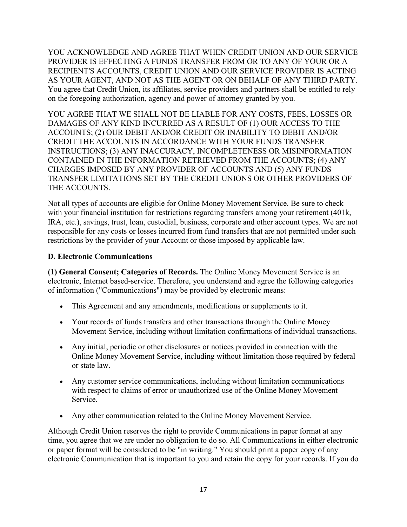YOU ACKNOWLEDGE AND AGREE THAT WHEN CREDIT UNION AND OUR SERVICE PROVIDER IS EFFECTING A FUNDS TRANSFER FROM OR TO ANY OF YOUR OR A RECIPIENT'S ACCOUNTS, CREDIT UNION AND OUR SERVICE PROVIDER IS ACTING AS YOUR AGENT, AND NOT AS THE AGENT OR ON BEHALF OF ANY THIRD PARTY. You agree that Credit Union, its affiliates, service providers and partners shall be entitled to rely on the foregoing authorization, agency and power of attorney granted by you.

YOU AGREE THAT WE SHALL NOT BE LIABLE FOR ANY COSTS, FEES, LOSSES OR DAMAGES OF ANY KIND INCURRED AS A RESULT OF (1) OUR ACCESS TO THE ACCOUNTS; (2) OUR DEBIT AND/OR CREDIT OR INABILITY TO DEBIT AND/OR CREDIT THE ACCOUNTS IN ACCORDANCE WITH YOUR FUNDS TRANSFER INSTRUCTIONS; (3) ANY INACCURACY, INCOMPLETENESS OR MISINFORMATION CONTAINED IN THE INFORMATION RETRIEVED FROM THE ACCOUNTS; (4) ANY CHARGES IMPOSED BY ANY PROVIDER OF ACCOUNTS AND (5) ANY FUNDS TRANSFER LIMITATIONS SET BY THE CREDIT UNIONS OR OTHER PROVIDERS OF THE ACCOUNTS.

Not all types of accounts are eligible for Online Money Movement Service. Be sure to check with your financial institution for restrictions regarding transfers among your retirement (401k, IRA, etc.), savings, trust, loan, custodial, business, corporate and other account types. We are not responsible for any costs or losses incurred from fund transfers that are not permitted under such restrictions by the provider of your Account or those imposed by applicable law.

### **D. Electronic Communications**

**(1) General Consent; Categories of Records.** The Online Money Movement Service is an electronic, Internet based-service. Therefore, you understand and agree the following categories of information ("Communications") may be provided by electronic means:

- This Agreement and any amendments, modifications or supplements to it.
- Your records of funds transfers and other transactions through the Online Money Movement Service, including without limitation confirmations of individual transactions.
- Any initial, periodic or other disclosures or notices provided in connection with the Online Money Movement Service, including without limitation those required by federal or state law.
- Any customer service communications, including without limitation communications with respect to claims of error or unauthorized use of the Online Money Movement Service.
- Any other communication related to the Online Money Movement Service.

Although Credit Union reserves the right to provide Communications in paper format at any time, you agree that we are under no obligation to do so. All Communications in either electronic or paper format will be considered to be "in writing." You should print a paper copy of any electronic Communication that is important to you and retain the copy for your records. If you do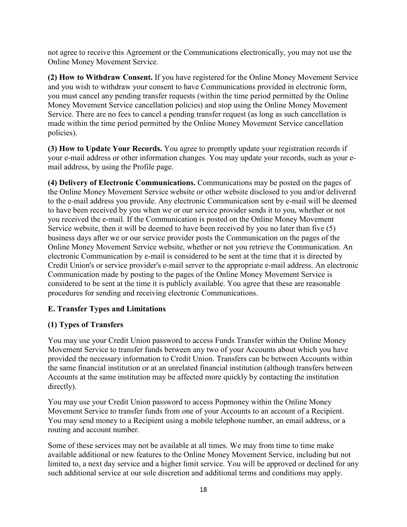not agree to receive this Agreement or the Communications electronically, you may not use the Online Money Movement Service.

**(2) How to Withdraw Consent.** If you have registered for the Online Money Movement Service and you wish to withdraw your consent to have Communications provided in electronic form, you must cancel any pending transfer requests (within the time period permitted by the Online Money Movement Service cancellation policies) and stop using the Online Money Movement Service. There are no fees to cancel a pending transfer request (as long as such cancellation is made within the time period permitted by the Online Money Movement Service cancellation policies).

**(3) How to Update Your Records.** You agree to promptly update your registration records if your e-mail address or other information changes. You may update your records, such as your email address, by using the Profile page.

**(4) Delivery of Electronic Communications.** Communications may be posted on the pages of the Online Money Movement Service website or other website disclosed to you and/or delivered to the e-mail address you provide. Any electronic Communication sent by e-mail will be deemed to have been received by you when we or our service provider sends it to you, whether or not you received the e-mail. If the Communication is posted on the Online Money Movement Service website, then it will be deemed to have been received by you no later than five (5) business days after we or our service provider posts the Communication on the pages of the Online Money Movement Service website, whether or not you retrieve the Communication. An electronic Communication by e-mail is considered to be sent at the time that it is directed by Credit Union's or service provider's e-mail server to the appropriate e-mail address. An electronic Communication made by posting to the pages of the Online Money Movement Service is considered to be sent at the time it is publicly available. You agree that these are reasonable procedures for sending and receiving electronic Communications.

### **E. Transfer Types and Limitations**

#### **(1) Types of Transfers**

You may use your Credit Union password to access Funds Transfer within the Online Money Movement Service to transfer funds between any two of your Accounts about which you have provided the necessary information to Credit Union. Transfers can be between Accounts within the same financial institution or at an unrelated financial institution (although transfers between Accounts at the same institution may be affected more quickly by contacting the institution directly).

You may use your Credit Union password to access Popmoney within the Online Money Movement Service to transfer funds from one of your Accounts to an account of a Recipient. You may send money to a Recipient using a mobile telephone number, an email address, or a routing and account number.

Some of these services may not be available at all times. We may from time to time make available additional or new features to the Online Money Movement Service, including but not limited to, a next day service and a higher limit service. You will be approved or declined for any such additional service at our sole discretion and additional terms and conditions may apply.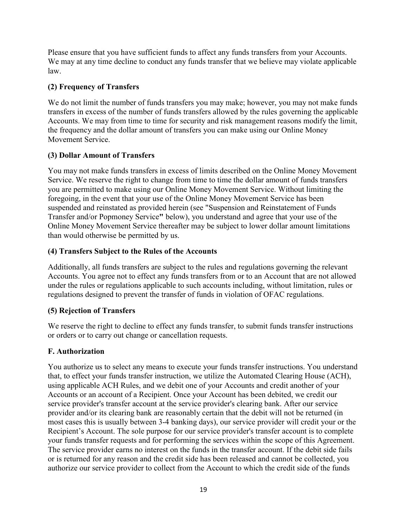Please ensure that you have sufficient funds to affect any funds transfers from your Accounts. We may at any time decline to conduct any funds transfer that we believe may violate applicable law.

### **(2) Frequency of Transfers**

We do not limit the number of funds transfers you may make; however, you may not make funds transfers in excess of the number of funds transfers allowed by the rules governing the applicable Accounts. We may from time to time for security and risk management reasons modify the limit, the frequency and the dollar amount of transfers you can make using our Online Money Movement Service.

### **(3) Dollar Amount of Transfers**

You may not make funds transfers in excess of limits described on the Online Money Movement Service. We reserve the right to change from time to time the dollar amount of funds transfers you are permitted to make using our Online Money Movement Service. Without limiting the foregoing, in the event that your use of the Online Money Movement Service has been suspended and reinstated as provided herein (see "Suspension and Reinstatement of Funds Transfer and/or Popmoney Service**"** below), you understand and agree that your use of the Online Money Movement Service thereafter may be subject to lower dollar amount limitations than would otherwise be permitted by us.

### **(4) Transfers Subject to the Rules of the Accounts**

Additionally, all funds transfers are subject to the rules and regulations governing the relevant Accounts. You agree not to effect any funds transfers from or to an Account that are not allowed under the rules or regulations applicable to such accounts including, without limitation, rules or regulations designed to prevent the transfer of funds in violation of OFAC regulations.

### **(5) Rejection of Transfers**

We reserve the right to decline to effect any funds transfer, to submit funds transfer instructions or orders or to carry out change or cancellation requests.

### **F. Authorization**

You authorize us to select any means to execute your funds transfer instructions. You understand that, to effect your funds transfer instruction, we utilize the Automated Clearing House (ACH), using applicable ACH Rules, and we debit one of your Accounts and credit another of your Accounts or an account of a Recipient. Once your Account has been debited, we credit our service provider's transfer account at the service provider's clearing bank. After our service provider and/or its clearing bank are reasonably certain that the debit will not be returned (in most cases this is usually between 3-4 banking days), our service provider will credit your or the Recipient's Account. The sole purpose for our service provider's transfer account is to complete your funds transfer requests and for performing the services within the scope of this Agreement. The service provider earns no interest on the funds in the transfer account. If the debit side fails or is returned for any reason and the credit side has been released and cannot be collected, you authorize our service provider to collect from the Account to which the credit side of the funds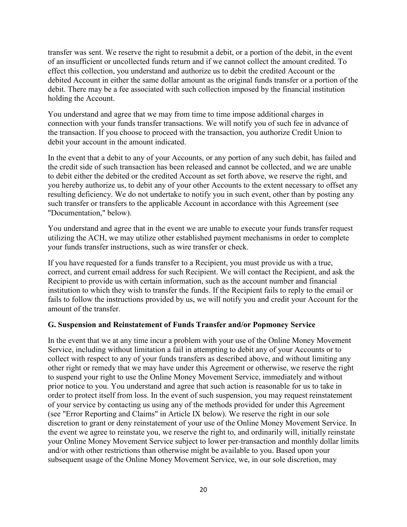transfer was sent. We reserve the right to resubmit a debit, or a portion of the debit, in the event of an insufficient or uncollected funds return and if we cannot collect the amount credited. To effect this collection, you understand and authorize us to debit the credited Account or the debited Account in either the same dollar amount as the original funds transfer or a portion of the debit. There may be a fee associated with such collection imposed by the financial institution holding the Account.

You understand and agree that we may from time to time impose additional charges in connection with your funds transfer transactions. We will notify you of such fee in advance of the transaction. If you choose to proceed with the transaction, you authorize Credit Union to debit your account in the amount indicated.

In the event that a debit to any of your Accounts, or any portion of any such debit, has failed and the credit side of such transaction has been released and cannot be collected, and we are unable to debit either the debited or the credited Account as set forth above, we reserve the right, and you hereby authorize us, to debit any of your other Accounts to the extent necessary to offset any resulting deficiency. We do not undertake to notify you in such event, other than by posting any such transfer or transfers to the applicable Account in accordance with this Agreement (see "Documentation," below).

You understand and agree that in the event we are unable to execute your funds transfer request utilizing the ACH, we may utilize other established payment mechanisms in order to complete your funds transfer instructions, such as wire transfer or check.

If you have requested for a funds transfer to a Recipient, you must provide us with a true, correct, and current email address for such Recipient. We will contact the Recipient, and ask the Recipient to provide us with certain information, such as the account number and financial institution to which they wish to transfer the funds. If the Recipient fails to reply to the email or fails to follow the instructions provided by us, we will notify you and credit your Account for the amount of the transfer.

#### **G. Suspension and Reinstatement of Funds Transfer and/or Popmoney Service**

In the event that we at any time incur a problem with your use of the Online Money Movement Service, including without limitation a fail in attempting to debit any of your Accounts or to collect with respect to any of your funds transfers as described above, and without limiting any other right or remedy that we may have under this Agreement or otherwise, we reserve the right to suspend your right to use the Online Money Movement Service, immediately and without prior notice to you. You understand and agree that such action is reasonable for us to take in order to protect itself from loss. In the event of such suspension, you may request reinstatement of your service by contacting us using any of the methods provided for under this Agreement (see "Error Reporting and Claims" in Article IX below). We reserve the right in our sole discretion to grant or deny reinstatement of your use of the Online Money Movement Service. In the event we agree to reinstate you, we reserve the right to, and ordinarily will, initially reinstate your Online Money Movement Service subject to lower per-transaction and monthly dollar limits and/or with other restrictions than otherwise might be available to you. Based upon your subsequent usage of the Online Money Movement Service, we, in our sole discretion, may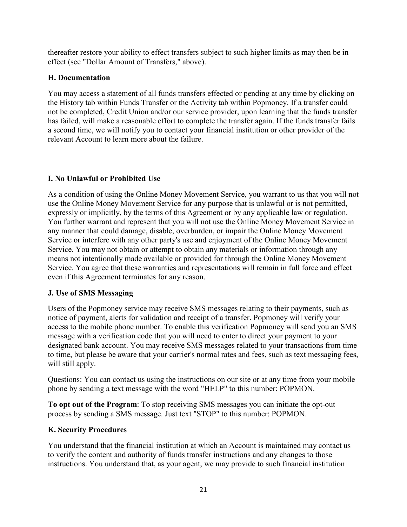thereafter restore your ability to effect transfers subject to such higher limits as may then be in effect (see "Dollar Amount of Transfers," above).

### **H. Documentation**

You may access a statement of all funds transfers effected or pending at any time by clicking on the History tab within Funds Transfer or the Activity tab within Popmoney. If a transfer could not be completed, Credit Union and/or our service provider, upon learning that the funds transfer has failed, will make a reasonable effort to complete the transfer again. If the funds transfer fails a second time, we will notify you to contact your financial institution or other provider of the relevant Account to learn more about the failure.

# **I. No Unlawful or Prohibited Use**

As a condition of using the Online Money Movement Service, you warrant to us that you will not use the Online Money Movement Service for any purpose that is unlawful or is not permitted, expressly or implicitly, by the terms of this Agreement or by any applicable law or regulation. You further warrant and represent that you will not use the Online Money Movement Service in any manner that could damage, disable, overburden, or impair the Online Money Movement Service or interfere with any other party's use and enjoyment of the Online Money Movement Service. You may not obtain or attempt to obtain any materials or information through any means not intentionally made available or provided for through the Online Money Movement Service. You agree that these warranties and representations will remain in full force and effect even if this Agreement terminates for any reason.

# **J. Use of SMS Messaging**

Users of the Popmoney service may receive SMS messages relating to their payments, such as notice of payment, alerts for validation and receipt of a transfer. Popmoney will verify your access to the mobile phone number. To enable this verification Popmoney will send you an SMS message with a verification code that you will need to enter to direct your payment to your designated bank account. You may receive SMS messages related to your transactions from time to time, but please be aware that your carrier's normal rates and fees, such as text messaging fees, will still apply.

Questions: You can contact us using the instructions on our site or at any time from your mobile phone by sending a text message with the word "HELP" to this number: POPMON.

**To opt out of the Program**: To stop receiving SMS messages you can initiate the opt-out process by sending a SMS message. Just text "STOP" to this number: POPMON.

# **K. Security Procedures**

You understand that the financial institution at which an Account is maintained may contact us to verify the content and authority of funds transfer instructions and any changes to those instructions. You understand that, as your agent, we may provide to such financial institution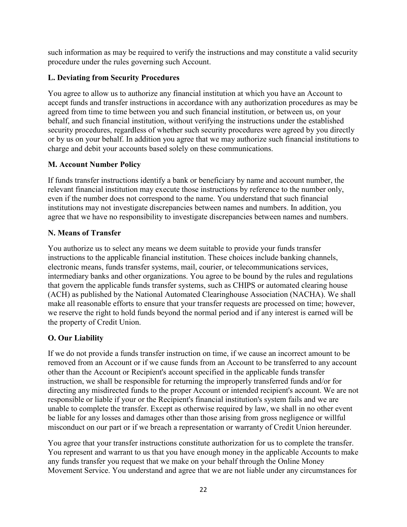such information as may be required to verify the instructions and may constitute a valid security procedure under the rules governing such Account.

### **L. Deviating from Security Procedures**

You agree to allow us to authorize any financial institution at which you have an Account to accept funds and transfer instructions in accordance with any authorization procedures as may be agreed from time to time between you and such financial institution, or between us, on your behalf, and such financial institution, without verifying the instructions under the established security procedures, regardless of whether such security procedures were agreed by you directly or by us on your behalf. In addition you agree that we may authorize such financial institutions to charge and debit your accounts based solely on these communications.

### **M. Account Number Policy**

If funds transfer instructions identify a bank or beneficiary by name and account number, the relevant financial institution may execute those instructions by reference to the number only, even if the number does not correspond to the name. You understand that such financial institutions may not investigate discrepancies between names and numbers. In addition, you agree that we have no responsibility to investigate discrepancies between names and numbers.

### **N. Means of Transfer**

You authorize us to select any means we deem suitable to provide your funds transfer instructions to the applicable financial institution. These choices include banking channels, electronic means, funds transfer systems, mail, courier, or telecommunications services, intermediary banks and other organizations. You agree to be bound by the rules and regulations that govern the applicable funds transfer systems, such as CHIPS or automated clearing house (ACH) as published by the National Automated Clearinghouse Association (NACHA). We shall make all reasonable efforts to ensure that your transfer requests are processed on time; however, we reserve the right to hold funds beyond the normal period and if any interest is earned will be the property of Credit Union.

# **O. Our Liability**

If we do not provide a funds transfer instruction on time, if we cause an incorrect amount to be removed from an Account or if we cause funds from an Account to be transferred to any account other than the Account or Recipient's account specified in the applicable funds transfer instruction, we shall be responsible for returning the improperly transferred funds and/or for directing any misdirected funds to the proper Account or intended recipient's account. We are not responsible or liable if your or the Recipient's financial institution's system fails and we are unable to complete the transfer. Except as otherwise required by law, we shall in no other event be liable for any losses and damages other than those arising from gross negligence or willful misconduct on our part or if we breach a representation or warranty of Credit Union hereunder.

You agree that your transfer instructions constitute authorization for us to complete the transfer. You represent and warrant to us that you have enough money in the applicable Accounts to make any funds transfer you request that we make on your behalf through the Online Money Movement Service. You understand and agree that we are not liable under any circumstances for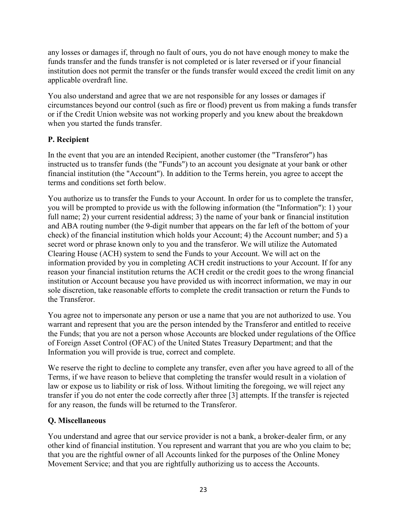any losses or damages if, through no fault of ours, you do not have enough money to make the funds transfer and the funds transfer is not completed or is later reversed or if your financial institution does not permit the transfer or the funds transfer would exceed the credit limit on any applicable overdraft line.

You also understand and agree that we are not responsible for any losses or damages if circumstances beyond our control (such as fire or flood) prevent us from making a funds transfer or if the Credit Union website was not working properly and you knew about the breakdown when you started the funds transfer.

### **P. Recipient**

In the event that you are an intended Recipient, another customer (the "Transferor") has instructed us to transfer funds (the "Funds") to an account you designate at your bank or other financial institution (the "Account"). In addition to the Terms herein, you agree to accept the terms and conditions set forth below.

You authorize us to transfer the Funds to your Account. In order for us to complete the transfer, you will be prompted to provide us with the following information (the "Information"): 1) your full name; 2) your current residential address; 3) the name of your bank or financial institution and ABA routing number (the 9-digit number that appears on the far left of the bottom of your check) of the financial institution which holds your Account; 4) the Account number; and 5) a secret word or phrase known only to you and the transferor. We will utilize the Automated Clearing House (ACH) system to send the Funds to your Account. We will act on the information provided by you in completing ACH credit instructions to your Account. If for any reason your financial institution returns the ACH credit or the credit goes to the wrong financial institution or Account because you have provided us with incorrect information, we may in our sole discretion, take reasonable efforts to complete the credit transaction or return the Funds to the Transferor.

You agree not to impersonate any person or use a name that you are not authorized to use. You warrant and represent that you are the person intended by the Transferor and entitled to receive the Funds; that you are not a person whose Accounts are blocked under regulations of the Office of Foreign Asset Control (OFAC) of the United States Treasury Department; and that the Information you will provide is true, correct and complete.

We reserve the right to decline to complete any transfer, even after you have agreed to all of the Terms, if we have reason to believe that completing the transfer would result in a violation of law or expose us to liability or risk of loss. Without limiting the foregoing, we will reject any transfer if you do not enter the code correctly after three [3] attempts. If the transfer is rejected for any reason, the funds will be returned to the Transferor.

### **Q. Miscellaneous**

You understand and agree that our service provider is not a bank, a broker-dealer firm, or any other kind of financial institution. You represent and warrant that you are who you claim to be; that you are the rightful owner of all Accounts linked for the purposes of the Online Money Movement Service; and that you are rightfully authorizing us to access the Accounts.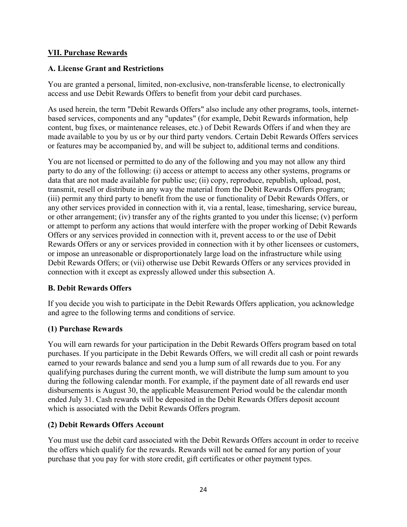#### **VII. Purchase Rewards**

#### **A. License Grant and Restrictions**

You are granted a personal, limited, non-exclusive, non-transferable license, to electronically access and use Debit Rewards Offers to benefit from your debit card purchases.

As used herein, the term "Debit Rewards Offers" also include any other programs, tools, internetbased services, components and any "updates" (for example, Debit Rewards information, help content, bug fixes, or maintenance releases, etc.) of Debit Rewards Offers if and when they are made available to you by us or by our third party vendors. Certain Debit Rewards Offers services or features may be accompanied by, and will be subject to, additional terms and conditions.

You are not licensed or permitted to do any of the following and you may not allow any third party to do any of the following: (i) access or attempt to access any other systems, programs or data that are not made available for public use; (ii) copy, reproduce, republish, upload, post, transmit, resell or distribute in any way the material from the Debit Rewards Offers program; (iii) permit any third party to benefit from the use or functionality of Debit Rewards Offers, or any other services provided in connection with it, via a rental, lease, timesharing, service bureau, or other arrangement; (iv) transfer any of the rights granted to you under this license; (v) perform or attempt to perform any actions that would interfere with the proper working of Debit Rewards Offers or any services provided in connection with it, prevent access to or the use of Debit Rewards Offers or any or services provided in connection with it by other licensees or customers, or impose an unreasonable or disproportionately large load on the infrastructure while using Debit Rewards Offers; or (vii) otherwise use Debit Rewards Offers or any services provided in connection with it except as expressly allowed under this subsection A.

### **B. Debit Rewards Offers**

If you decide you wish to participate in the Debit Rewards Offers application, you acknowledge and agree to the following terms and conditions of service.

### **(1) Purchase Rewards**

You will earn rewards for your participation in the Debit Rewards Offers program based on total purchases. If you participate in the Debit Rewards Offers, we will credit all cash or point rewards earned to your rewards balance and send you a lump sum of all rewards due to you. For any qualifying purchases during the current month, we will distribute the lump sum amount to you during the following calendar month. For example, if the payment date of all rewards end user disbursements is August 30, the applicable Measurement Period would be the calendar month ended July 31. Cash rewards will be deposited in the Debit Rewards Offers deposit account which is associated with the Debit Rewards Offers program.

### **(2) Debit Rewards Offers Account**

You must use the debit card associated with the Debit Rewards Offers account in order to receive the offers which qualify for the rewards. Rewards will not be earned for any portion of your purchase that you pay for with store credit, gift certificates or other payment types.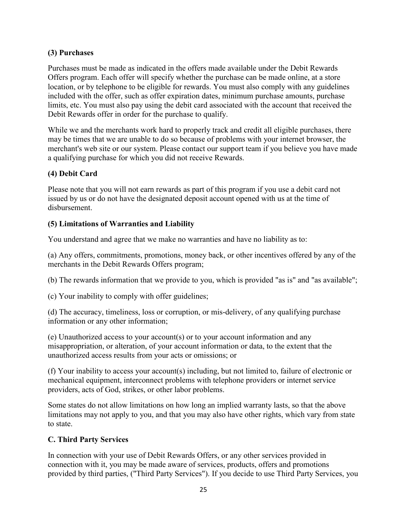### **(3) Purchases**

Purchases must be made as indicated in the offers made available under the Debit Rewards Offers program. Each offer will specify whether the purchase can be made online, at a store location, or by telephone to be eligible for rewards. You must also comply with any guidelines included with the offer, such as offer expiration dates, minimum purchase amounts, purchase limits, etc. You must also pay using the debit card associated with the account that received the Debit Rewards offer in order for the purchase to qualify.

While we and the merchants work hard to properly track and credit all eligible purchases, there may be times that we are unable to do so because of problems with your internet browser, the merchant's web site or our system. Please contact our support team if you believe you have made a qualifying purchase for which you did not receive Rewards.

### **(4) Debit Card**

Please note that you will not earn rewards as part of this program if you use a debit card not issued by us or do not have the designated deposit account opened with us at the time of disbursement.

### **(5) Limitations of Warranties and Liability**

You understand and agree that we make no warranties and have no liability as to:

(a) Any offers, commitments, promotions, money back, or other incentives offered by any of the merchants in the Debit Rewards Offers program;

(b) The rewards information that we provide to you, which is provided "as is" and "as available";

(c) Your inability to comply with offer guidelines;

(d) The accuracy, timeliness, loss or corruption, or mis-delivery, of any qualifying purchase information or any other information;

(e) Unauthorized access to your account(s) or to your account information and any misappropriation, or alteration, of your account information or data, to the extent that the unauthorized access results from your acts or omissions; or

(f) Your inability to access your account(s) including, but not limited to, failure of electronic or mechanical equipment, interconnect problems with telephone providers or internet service providers, acts of God, strikes, or other labor problems.

Some states do not allow limitations on how long an implied warranty lasts, so that the above limitations may not apply to you, and that you may also have other rights, which vary from state to state.

#### **C. Third Party Services**

In connection with your use of Debit Rewards Offers, or any other services provided in connection with it, you may be made aware of services, products, offers and promotions provided by third parties, ("Third Party Services"). If you decide to use Third Party Services, you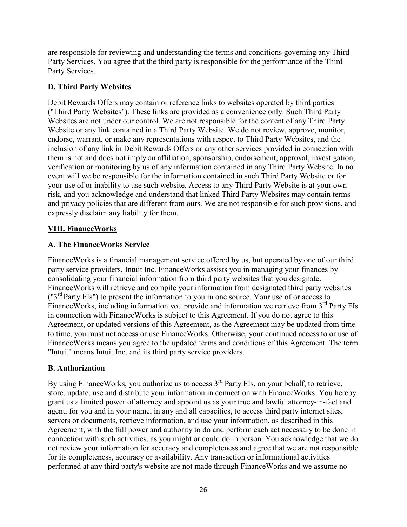are responsible for reviewing and understanding the terms and conditions governing any Third Party Services. You agree that the third party is responsible for the performance of the Third Party Services.

### **D. Third Party Websites**

Debit Rewards Offers may contain or reference links to websites operated by third parties ("Third Party Websites"). These links are provided as a convenience only. Such Third Party Websites are not under our control. We are not responsible for the content of any Third Party Website or any link contained in a Third Party Website. We do not review, approve, monitor, endorse, warrant, or make any representations with respect to Third Party Websites, and the inclusion of any link in Debit Rewards Offers or any other services provided in connection with them is not and does not imply an affiliation, sponsorship, endorsement, approval, investigation, verification or monitoring by us of any information contained in any Third Party Website. In no event will we be responsible for the information contained in such Third Party Website or for your use of or inability to use such website. Access to any Third Party Website is at your own risk, and you acknowledge and understand that linked Third Party Websites may contain terms and privacy policies that are different from ours. We are not responsible for such provisions, and expressly disclaim any liability for them.

### **VIII. FinanceWorks**

### **A. The FinanceWorks Service**

FinanceWorks is a financial management service offered by us, but operated by one of our third party service providers, Intuit Inc. FinanceWorks assists you in managing your finances by consolidating your financial information from third party websites that you designate. FinanceWorks will retrieve and compile your information from designated third party websites  $("3<sup>rd</sup> Party FIs")$  to present the information to you in one source. Your use of or access to FinanceWorks, including information you provide and information we retrieve from  $3<sup>rd</sup>$  Party FIs in connection with FinanceWorks is subject to this Agreement. If you do not agree to this Agreement, or updated versions of this Agreement, as the Agreement may be updated from time to time, you must not access or use FinanceWorks. Otherwise, your continued access to or use of FinanceWorks means you agree to the updated terms and conditions of this Agreement. The term "Intuit" means Intuit Inc. and its third party service providers.

#### **B. Authorization**

By using FinanceWorks, you authorize us to access 3<sup>rd</sup> Party FIs, on your behalf, to retrieve, store, update, use and distribute your information in connection with FinanceWorks. You hereby grant us a limited power of attorney and appoint us as your true and lawful attorney-in-fact and agent, for you and in your name, in any and all capacities, to access third party internet sites, servers or documents, retrieve information, and use your information, as described in this Agreement, with the full power and authority to do and perform each act necessary to be done in connection with such activities, as you might or could do in person. You acknowledge that we do not review your information for accuracy and completeness and agree that we are not responsible for its completeness, accuracy or availability. Any transaction or informational activities performed at any third party's website are not made through FinanceWorks and we assume no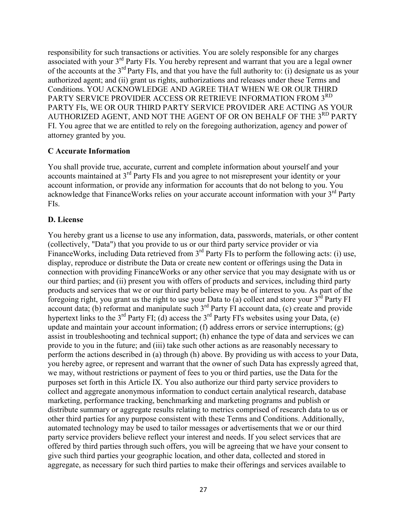responsibility for such transactions or activities. You are solely responsible for any charges associated with your 3rd Party FIs. You hereby represent and warrant that you are a legal owner of the accounts at the 3rd Party FIs, and that you have the full authority to: (i) designate us as your authorized agent; and (ii) grant us rights, authorizations and releases under these Terms and Conditions. YOU ACKNOWLEDGE AND AGREE THAT WHEN WE OR OUR THIRD PARTY SERVICE PROVIDER ACCESS OR RETRIEVE INFORMATION FROM 3<sup>RD</sup> PARTY FIs, WE OR OUR THIRD PARTY SERVICE PROVIDER ARE ACTING AS YOUR AUTHORIZED AGENT, AND NOT THE AGENT OF OR ON BEHALF OF THE 3RD PARTY FI. You agree that we are entitled to rely on the foregoing authorization, agency and power of attorney granted by you.

#### **C Accurate Information**

You shall provide true, accurate, current and complete information about yourself and your accounts maintained at 3rd Party FIs and you agree to not misrepresent your identity or your account information, or provide any information for accounts that do not belong to you. You acknowledge that FinanceWorks relies on your accurate account information with your  $3<sup>rd</sup>$  Party FIs.

#### **D. License**

You hereby grant us a license to use any information, data, passwords, materials, or other content (collectively, "Data") that you provide to us or our third party service provider or via FinanceWorks, including Data retrieved from 3<sup>rd</sup> Party FIs to perform the following acts: (i) use, display, reproduce or distribute the Data or create new content or offerings using the Data in connection with providing FinanceWorks or any other service that you may designate with us or our third parties; and (ii) present you with offers of products and services, including third party products and services that we or our third party believe may be of interest to you. As part of the foregoing right, you grant us the right to use your Data to (a) collect and store your 3rd Party FI account data; (b) reformat and manipulate such  $3<sup>rd</sup>$  Party FI account data, (c) create and provide hypertext links to the  $3^{rd}$  Party FI; (d) access the  $3^{rd}$  Party FI's websites using your Data, (e) update and maintain your account information; (f) address errors or service interruptions; (g) assist in troubleshooting and technical support; (h) enhance the type of data and services we can provide to you in the future; and (iii) take such other actions as are reasonably necessary to perform the actions described in (a) through (h) above. By providing us with access to your Data, you hereby agree, or represent and warrant that the owner of such Data has expressly agreed that, we may, without restrictions or payment of fees to you or third parties, use the Data for the purposes set forth in this Article IX. You also authorize our third party service providers to collect and aggregate anonymous information to conduct certain analytical research, database marketing, performance tracking, benchmarking and marketing programs and publish or distribute summary or aggregate results relating to metrics comprised of research data to us or other third parties for any purpose consistent with these Terms and Conditions. Additionally, automated technology may be used to tailor messages or advertisements that we or our third party service providers believe reflect your interest and needs. If you select services that are offered by third parties through such offers, you will be agreeing that we have your consent to give such third parties your geographic location, and other data, collected and stored in aggregate, as necessary for such third parties to make their offerings and services available to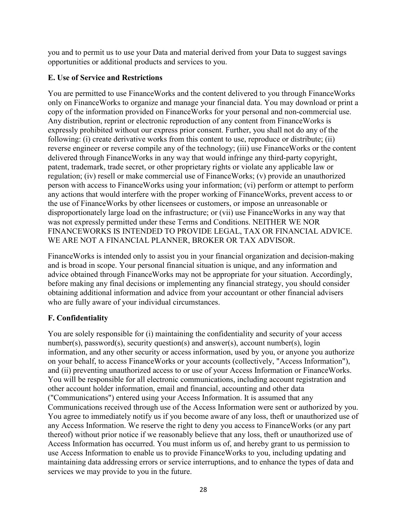you and to permit us to use your Data and material derived from your Data to suggest savings opportunities or additional products and services to you.

### **E. Use of Service and Restrictions**

You are permitted to use FinanceWorks and the content delivered to you through FinanceWorks only on FinanceWorks to organize and manage your financial data. You may download or print a copy of the information provided on FinanceWorks for your personal and non-commercial use. Any distribution, reprint or electronic reproduction of any content from FinanceWorks is expressly prohibited without our express prior consent. Further, you shall not do any of the following: (i) create derivative works from this content to use, reproduce or distribute; (ii) reverse engineer or reverse compile any of the technology; (iii) use FinanceWorks or the content delivered through FinanceWorks in any way that would infringe any third-party copyright, patent, trademark, trade secret, or other proprietary rights or violate any applicable law or regulation; (iv) resell or make commercial use of FinanceWorks; (v) provide an unauthorized person with access to FinanceWorks using your information; (vi) perform or attempt to perform any actions that would interfere with the proper working of FinanceWorks, prevent access to or the use of FinanceWorks by other licensees or customers, or impose an unreasonable or disproportionately large load on the infrastructure; or (vii) use FinanceWorks in any way that was not expressly permitted under these Terms and Conditions. NEITHER WE NOR FINANCEWORKS IS INTENDED TO PROVIDE LEGAL, TAX OR FINANCIAL ADVICE. WE ARE NOT A FINANCIAL PLANNER, BROKER OR TAX ADVISOR.

FinanceWorks is intended only to assist you in your financial organization and decision-making and is broad in scope. Your personal financial situation is unique, and any information and advice obtained through FinanceWorks may not be appropriate for your situation. Accordingly, before making any final decisions or implementing any financial strategy, you should consider obtaining additional information and advice from your accountant or other financial advisers who are fully aware of your individual circumstances.

# **F. Confidentiality**

You are solely responsible for (i) maintaining the confidentiality and security of your access number(s), password(s), security question(s) and answer(s), account number(s), login information, and any other security or access information, used by you, or anyone you authorize on your behalf, to access FinanceWorks or your accounts (collectively, "Access Information"), and (ii) preventing unauthorized access to or use of your Access Information or FinanceWorks. You will be responsible for all electronic communications, including account registration and other account holder information, email and financial, accounting and other data ("Communications") entered using your Access Information. It is assumed that any Communications received through use of the Access Information were sent or authorized by you. You agree to immediately notify us if you become aware of any loss, theft or unauthorized use of any Access Information. We reserve the right to deny you access to FinanceWorks (or any part thereof) without prior notice if we reasonably believe that any loss, theft or unauthorized use of Access Information has occurred. You must inform us of, and hereby grant to us permission to use Access Information to enable us to provide FinanceWorks to you, including updating and maintaining data addressing errors or service interruptions, and to enhance the types of data and services we may provide to you in the future.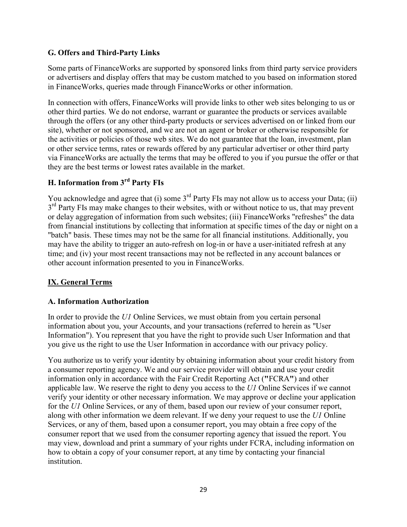### **G. Offers and Third-Party Links**

Some parts of FinanceWorks are supported by sponsored links from third party service providers or advertisers and display offers that may be custom matched to you based on information stored in FinanceWorks, queries made through FinanceWorks or other information.

In connection with offers, FinanceWorks will provide links to other web sites belonging to us or other third parties. We do not endorse, warrant or guarantee the products or services available through the offers (or any other third-party products or services advertised on or linked from our site), whether or not sponsored, and we are not an agent or broker or otherwise responsible for the activities or policies of those web sites. We do not guarantee that the loan, investment, plan or other service terms, rates or rewards offered by any particular advertiser or other third party via FinanceWorks are actually the terms that may be offered to you if you pursue the offer or that they are the best terms or lowest rates available in the market.

# **H. Information from 3rd Party FIs**

You acknowledge and agree that (i) some  $3<sup>rd</sup>$  Party FIs may not allow us to access your Data; (ii)  $3<sup>rd</sup>$  Party FIs may make changes to their websites, with or without notice to us, that may prevent or delay aggregation of information from such websites; (iii) FinanceWorks "refreshes" the data from financial institutions by collecting that information at specific times of the day or night on a "batch" basis. These times may not be the same for all financial institutions. Additionally, you may have the ability to trigger an auto-refresh on log-in or have a user-initiated refresh at any time; and (iv) your most recent transactions may not be reflected in any account balances or other account information presented to you in FinanceWorks.

### **IX. General Terms**

### **A. Information Authorization**

In order to provide the *U1* Online Services, we must obtain from you certain personal information about you, your Accounts, and your transactions (referred to herein as "User Information"). You represent that you have the right to provide such User Information and that you give us the right to use the User Information in accordance with our privacy policy.

You authorize us to verify your identity by obtaining information about your credit history from a consumer reporting agency. We and our service provider will obtain and use your credit information only in accordance with the Fair Credit Reporting Act (**"**FCRA**"**) and other applicable law. We reserve the right to deny you access to the *U1* Online Services if we cannot verify your identity or other necessary information. We may approve or decline your application for the *U1* Online Services, or any of them, based upon our review of your consumer report, along with other information we deem relevant. If we deny your request to use the *U1* Online Services, or any of them, based upon a consumer report, you may obtain a free copy of the consumer report that we used from the consumer reporting agency that issued the report. You may view, download and print a summary of your rights under FCRA, including information on how to obtain a copy of your consumer report, at any time by contacting your financial institution.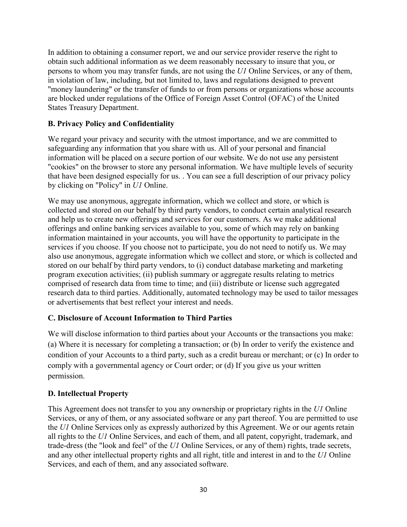In addition to obtaining a consumer report, we and our service provider reserve the right to obtain such additional information as we deem reasonably necessary to insure that you, or persons to whom you may transfer funds, are not using the *U1* Online Services, or any of them, in violation of law, including, but not limited to, laws and regulations designed to prevent "money laundering" or the transfer of funds to or from persons or organizations whose accounts are blocked under regulations of the Office of Foreign Asset Control (OFAC) of the United States Treasury Department.

### **B. Privacy Policy and Confidentiality**

We regard your privacy and security with the utmost importance, and we are committed to safeguarding any information that you share with us. All of your personal and financial information will be placed on a secure portion of our website. We do not use any persistent "cookies" on the browser to store any personal information. We have multiple levels of security that have been designed especially for us. . You can see a full description of our privacy policy by clicking on "Policy" in *U1* Online.

We may use anonymous, aggregate information, which we collect and store, or which is collected and stored on our behalf by third party vendors, to conduct certain analytical research and help us to create new offerings and services for our customers. As we make additional offerings and online banking services available to you, some of which may rely on banking information maintained in your accounts, you will have the opportunity to participate in the services if you choose. If you choose not to participate, you do not need to notify us. We may also use anonymous, aggregate information which we collect and store, or which is collected and stored on our behalf by third party vendors, to (i) conduct database marketing and marketing program execution activities; (ii) publish summary or aggregate results relating to metrics comprised of research data from time to time; and (iii) distribute or license such aggregated research data to third parties. Additionally, automated technology may be used to tailor messages or advertisements that best reflect your interest and needs.

#### **C. Disclosure of Account Information to Third Parties**

We will disclose information to third parties about your Accounts or the transactions you make: (a) Where it is necessary for completing a transaction; or (b) In order to verify the existence and condition of your Accounts to a third party, such as a credit bureau or merchant; or (c) In order to comply with a governmental agency or Court order; or (d) If you give us your written permission.

### **D. Intellectual Property**

This Agreement does not transfer to you any ownership or proprietary rights in the *U1* Online Services, or any of them, or any associated software or any part thereof. You are permitted to use the *U1* Online Services only as expressly authorized by this Agreement. We or our agents retain all rights to the *U1* Online Services, and each of them, and all patent, copyright, trademark, and trade-dress (the "look and feel" of the *U1* Online Services, or any of them) rights, trade secrets, and any other intellectual property rights and all right, title and interest in and to the *U1* Online Services, and each of them, and any associated software.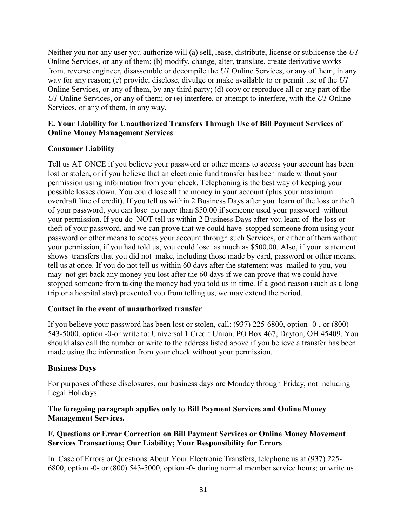Neither you nor any user you authorize will (a) sell, lease, distribute, license or sublicense the *U1* Online Services, or any of them; (b) modify, change, alter, translate, create derivative works from, reverse engineer, disassemble or decompile the *U1* Online Services, or any of them, in any way for any reason; (c) provide, disclose, divulge or make available to or permit use of the *U1* Online Services, or any of them, by any third party; (d) copy or reproduce all or any part of the *U1* Online Services, or any of them; or (e) interfere, or attempt to interfere, with the *U1* Online Services, or any of them, in any way.

#### **E. Your Liability for Unauthorized Transfers Through Use of Bill Payment Services of Online Money Management Services**

#### **Consumer Liability**

Tell us AT ONCE if you believe your password or other means to access your account has been lost or stolen, or if you believe that an electronic fund transfer has been made without your permission using information from your check. Telephoning is the best way of keeping your possible losses down. You could lose all the money in your account (plus your maximum overdraft line of credit). If you tell us within 2 Business Days after you learn of the loss or theft of your password, you can lose no more than \$50.00 if someone used your password without your permission. If you do NOT tell us within 2 Business Days after you learn of the loss or theft of your password, and we can prove that we could have stopped someone from using your password or other means to access your account through such Services, or either of them without your permission, if you had told us, you could lose as much as \$500.00. Also, if your statement shows transfers that you did not make, including those made by card, password or other means, tell us at once. If you do not tell us within 60 days after the statement was mailed to you, you may not get back any money you lost after the 60 days if we can prove that we could have stopped someone from taking the money had you told us in time. If a good reason (such as a long trip or a hospital stay) prevented you from telling us, we may extend the period.

#### **Contact in the event of unauthorized transfer**

If you believe your password has been lost or stolen, call: (937) 225-6800, option -0-, or (800) 543-5000, option -0-or write to: Universal 1 Credit Union, PO Box 467, Dayton, OH 45409. You should also call the number or write to the address listed above if you believe a transfer has been made using the information from your check without your permission.

#### **Business Days**

For purposes of these disclosures, our business days are Monday through Friday, not including Legal Holidays.

#### **The foregoing paragraph applies only to Bill Payment Services and Online Money Management Services.**

#### **F. Questions or Error Correction on Bill Payment Services or Online Money Movement Services Transactions; Our Liability; Your Responsibility for Errors**

In Case of Errors or Questions About Your Electronic Transfers, telephone us at (937) 225- 6800, option -0- or (800) 543-5000, option -0- during normal member service hours; or write us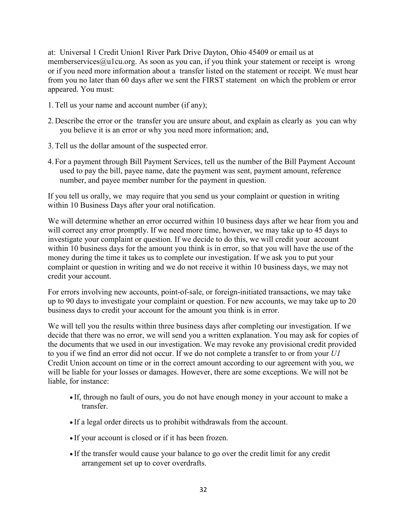at: Universal 1 Credit Union1 River Park Drive Dayton, Ohio 45409 or email us at memberservices $@$ u1cu.org. As soon as you can, if you think your statement or receipt is wrong or if you need more information about a transfer listed on the statement or receipt. We must hear from you no later than 60 days after we sent the FIRST statement on which the problem or error appeared. You must:

- 1.Tell us your name and account number (if any);
- 2. Describe the error or the transfer you are unsure about, and explain as clearly as you can why you believe it is an error or why you need more information; and,
- 3.Tell us the dollar amount of the suspected error.
- 4. For a payment through Bill Payment Services, tell us the number of the Bill Payment Account used to pay the bill, payee name, date the payment was sent, payment amount, reference number, and payee member number for the payment in question.

If you tell us orally, we may require that you send us your complaint or question in writing within 10 Business Days after your oral notification.

We will determine whether an error occurred within 10 business days after we hear from you and will correct any error promptly. If we need more time, however, we may take up to 45 days to investigate your complaint or question. If we decide to do this, we will credit your account within 10 business days for the amount you think is in error, so that you will have the use of the money during the time it takes us to complete our investigation. If we ask you to put your complaint or question in writing and we do not receive it within 10 business days, we may not credit your account.

For errors involving new accounts, point-of-sale, or foreign-initiated transactions, we may take up to 90 days to investigate your complaint or question. For new accounts, we may take up to 20 business days to credit your account for the amount you think is in error.

We will tell you the results within three business days after completing our investigation. If we decide that there was no error, we will send you a written explanation. You may ask for copies of the documents that we used in our investigation. We may revoke any provisional credit provided to you if we find an error did not occur. If we do not complete a transfer to or from your *U1* Credit Union account on time or in the correct amount according to our agreement with you, we will be liable for your losses or damages. However, there are some exceptions. We will not be liable, for instance:

- If, through no fault of ours, you do not have enough money in your account to make a transfer.
- If a legal order directs us to prohibit withdrawals from the account.
- If your account is closed or if it has been frozen.
- If the transfer would cause your balance to go over the credit limit for any credit arrangement set up to cover overdrafts.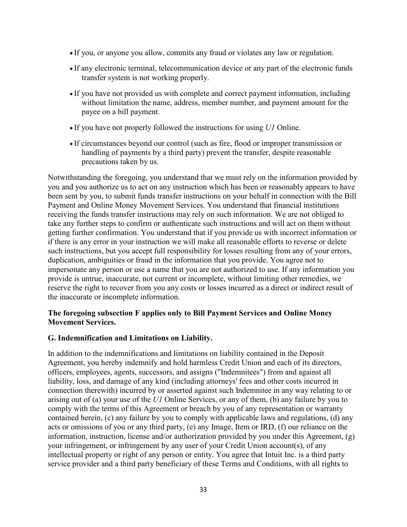- If you, or anyone you allow, commits any fraud or violates any law or regulation.
- If any electronic terminal, telecommunication device or any part of the electronic funds transfer system is not working properly.
- If you have not provided us with complete and correct payment information, including without limitation the name, address, member number, and payment amount for the payee on a bill payment.
- If you have not properly followed the instructions for using *U1* Online.
- If circumstances beyond our control (such as fire, flood or improper transmission or handling of payments by a third party) prevent the transfer, despite reasonable precautions taken by us.

Notwithstanding the foregoing, you understand that we must rely on the information provided by you and you authorize us to act on any instruction which has been or reasonably appears to have been sent by you, to submit funds transfer instructions on your behalf in connection with the Bill Payment and Online Money Movement Services. You understand that financial institutions receiving the funds transfer instructions may rely on such information. We are not obliged to take any further steps to confirm or authenticate such instructions and will act on them without getting further confirmation. You understand that if you provide us with incorrect information or if there is any error in your instruction we will make all reasonable efforts to reverse or delete such instructions, but you accept full responsibility for losses resulting from any of your errors, duplication, ambiguities or fraud in the information that you provide. You agree not to impersonate any person or use a name that you are not authorized to use. If any information you provide is untrue, inaccurate, not current or incomplete, without limiting other remedies, we reserve the right to recover from you any costs or losses incurred as a direct or indirect result of the inaccurate or incomplete information.

#### **The foregoing subsection F applies only to Bill Payment Services and Online Money Movement Services.**

#### **G. Indemnification and Limitations on Liability.**

In addition to the indemnifications and limitations on liability contained in the Deposit Agreement, you hereby indemnify and hold harmless Credit Union and each of its directors, officers, employees, agents, successors, and assigns ("Indemnitees") from and against all liability, loss, and damage of any kind (including attorneys' fees and other costs incurred in connection therewith) incurred by or asserted against such Indemnitee in any way relating to or arising out of (a) your use of the *U1* Online Services, or any of them, (b) any failure by you to comply with the terms of this Agreement or breach by you of any representation or warranty contained herein, (c) any failure by you to comply with applicable laws and regulations, (d) any acts or omissions of you or any third party, (e) any Image, Item or IRD, (f) our reliance on the information, instruction, license and/or authorization provided by you under this Agreement, (g) your infringement, or infringement by any user of your Credit Union account(s), of any intellectual property or right of any person or entity. You agree that Intuit Inc. is a third party service provider and a third party beneficiary of these Terms and Conditions, with all rights to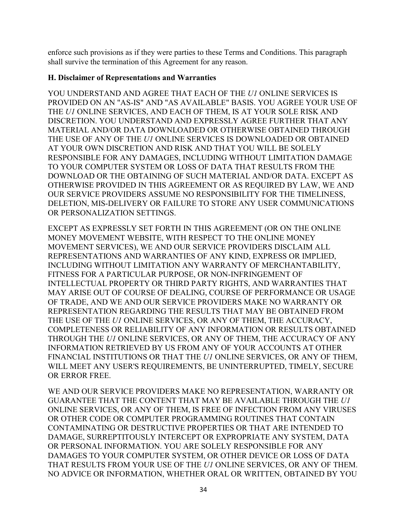enforce such provisions as if they were parties to these Terms and Conditions. This paragraph shall survive the termination of this Agreement for any reason.

#### **H. Disclaimer of Representations and Warranties**

YOU UNDERSTAND AND AGREE THAT EACH OF THE *U1* ONLINE SERVICES IS PROVIDED ON AN "AS-IS" AND "AS AVAILABLE" BASIS. YOU AGREE YOUR USE OF THE *U1* ONLINE SERVICES, AND EACH OF THEM, IS AT YOUR SOLE RISK AND DISCRETION. YOU UNDERSTAND AND EXPRESSLY AGREE FURTHER THAT ANY MATERIAL AND/OR DATA DOWNLOADED OR OTHERWISE OBTAINED THROUGH THE USE OF ANY OF THE *U1* ONLINE SERVICES IS DOWNLOADED OR OBTAINED AT YOUR OWN DISCRETION AND RISK AND THAT YOU WILL BE SOLELY RESPONSIBLE FOR ANY DAMAGES, INCLUDING WITHOUT LIMITATION DAMAGE TO YOUR COMPUTER SYSTEM OR LOSS OF DATA THAT RESULTS FROM THE DOWNLOAD OR THE OBTAINING OF SUCH MATERIAL AND/OR DATA. EXCEPT AS OTHERWISE PROVIDED IN THIS AGREEMENT OR AS REQUIRED BY LAW, WE AND OUR SERVICE PROVIDERS ASSUME NO RESPONSIBILITY FOR THE TIMELINESS, DELETION, MIS-DELIVERY OR FAILURE TO STORE ANY USER COMMUNICATIONS OR PERSONALIZATION SETTINGS.

EXCEPT AS EXPRESSLY SET FORTH IN THIS AGREEMENT (OR ON THE ONLINE MONEY MOVEMENT WEBSITE, WITH RESPECT TO THE ONLINE MONEY MOVEMENT SERVICES), WE AND OUR SERVICE PROVIDERS DISCLAIM ALL REPRESENTATIONS AND WARRANTIES OF ANY KIND, EXPRESS OR IMPLIED, INCLUDING WITHOUT LIMITATION ANY WARRANTY OF MERCHANTABILITY, FITNESS FOR A PARTICULAR PURPOSE, OR NON-INFRINGEMENT OF INTELLECTUAL PROPERTY OR THIRD PARTY RIGHTS, AND WARRANTIES THAT MAY ARISE OUT OF COURSE OF DEALING, COURSE OF PERFORMANCE OR USAGE OF TRADE, AND WE AND OUR SERVICE PROVIDERS MAKE NO WARRANTY OR REPRESENTATION REGARDING THE RESULTS THAT MAY BE OBTAINED FROM THE USE OF THE *U1* ONLINE SERVICES, OR ANY OF THEM, THE ACCURACY, COMPLETENESS OR RELIABILITY OF ANY INFORMATION OR RESULTS OBTAINED THROUGH THE *U1* ONLINE SERVICES, OR ANY OF THEM, THE ACCURACY OF ANY INFORMATION RETRIEVED BY US FROM ANY OF YOUR ACCOUNTS AT OTHER FINANCIAL INSTITUTIONS OR THAT THE *U1* ONLINE SERVICES, OR ANY OF THEM, WILL MEET ANY USER'S REQUIREMENTS, BE UNINTERRUPTED, TIMELY, SECURE OR ERROR FREE.

WE AND OUR SERVICE PROVIDERS MAKE NO REPRESENTATION, WARRANTY OR GUARANTEE THAT THE CONTENT THAT MAY BE AVAILABLE THROUGH THE *U1* ONLINE SERVICES, OR ANY OF THEM, IS FREE OF INFECTION FROM ANY VIRUSES OR OTHER CODE OR COMPUTER PROGRAMMING ROUTINES THAT CONTAIN CONTAMINATING OR DESTRUCTIVE PROPERTIES OR THAT ARE INTENDED TO DAMAGE, SURREPTITOUSLY INTERCEPT OR EXPROPRIATE ANY SYSTEM, DATA OR PERSONAL INFORMATION. YOU ARE SOLELY RESPONSIBLE FOR ANY DAMAGES TO YOUR COMPUTER SYSTEM, OR OTHER DEVICE OR LOSS OF DATA THAT RESULTS FROM YOUR USE OF THE *U1* ONLINE SERVICES, OR ANY OF THEM. NO ADVICE OR INFORMATION, WHETHER ORAL OR WRITTEN, OBTAINED BY YOU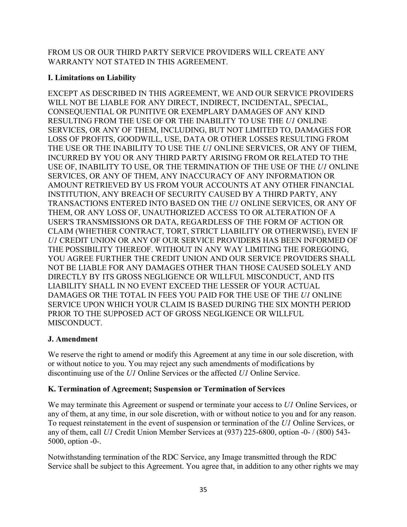FROM US OR OUR THIRD PARTY SERVICE PROVIDERS WILL CREATE ANY WARRANTY NOT STATED IN THIS AGREEMENT.

### **I. Limitations on Liability**

EXCEPT AS DESCRIBED IN THIS AGREEMENT, WE AND OUR SERVICE PROVIDERS WILL NOT BE LIABLE FOR ANY DIRECT, INDIRECT, INCIDENTAL, SPECIAL, CONSEQUENTIAL OR PUNITIVE OR EXEMPLARY DAMAGES OF ANY KIND RESULTING FROM THE USE OF OR THE INABILITY TO USE THE *U1* ONLINE SERVICES, OR ANY OF THEM, INCLUDING, BUT NOT LIMITED TO, DAMAGES FOR LOSS OF PROFITS, GOODWILL, USE, DATA OR OTHER LOSSES RESULTING FROM THE USE OR THE INABILITY TO USE THE *U1* ONLINE SERVICES, OR ANY OF THEM, INCURRED BY YOU OR ANY THIRD PARTY ARISING FROM OR RELATED TO THE USE OF, INABILITY TO USE, OR THE TERMINATION OF THE USE OF THE *U1* ONLINE SERVICES, OR ANY OF THEM, ANY INACCURACY OF ANY INFORMATION OR AMOUNT RETRIEVED BY US FROM YOUR ACCOUNTS AT ANY OTHER FINANCIAL INSTITUTION, ANY BREACH OF SECURITY CAUSED BY A THIRD PARTY, ANY TRANSACTIONS ENTERED INTO BASED ON THE *U1* ONLINE SERVICES, OR ANY OF THEM, OR ANY LOSS OF, UNAUTHORIZED ACCESS TO OR ALTERATION OF A USER'S TRANSMISSIONS OR DATA, REGARDLESS OF THE FORM OF ACTION OR CLAIM (WHETHER CONTRACT, TORT, STRICT LIABILITY OR OTHERWISE), EVEN IF *U1* CREDIT UNION OR ANY OF OUR SERVICE PROVIDERS HAS BEEN INFORMED OF THE POSSIBILITY THEREOF. WITHOUT IN ANY WAY LIMITING THE FOREGOING, YOU AGREE FURTHER THE CREDIT UNION AND OUR SERVICE PROVIDERS SHALL NOT BE LIABLE FOR ANY DAMAGES OTHER THAN THOSE CAUSED SOLELY AND DIRECTLY BY ITS GROSS NEGLIGENCE OR WILLFUL MISCONDUCT, AND ITS LIABILITY SHALL IN NO EVENT EXCEED THE LESSER OF YOUR ACTUAL DAMAGES OR THE TOTAL IN FEES YOU PAID FOR THE USE OF THE *U1* ONLINE SERVICE UPON WHICH YOUR CLAIM IS BASED DURING THE SIX MONTH PERIOD PRIOR TO THE SUPPOSED ACT OF GROSS NEGLIGENCE OR WILLFUL MISCONDUCT.

# **J. Amendment**

We reserve the right to amend or modify this Agreement at any time in our sole discretion, with or without notice to you. You may reject any such amendments of modifications by discontinuing use of the *U1* Online Services or the affected *U1* Online Service.

# **K. Termination of Agreement; Suspension or Termination of Services**

We may terminate this Agreement or suspend or terminate your access to *U1* Online Services, or any of them, at any time, in our sole discretion, with or without notice to you and for any reason. To request reinstatement in the event of suspension or termination of the *U1* Online Services, or any of them, call *U1* Credit Union Member Services at (937) 225-6800, option -0- / (800) 543- 5000, option -0-.

Notwithstanding termination of the RDC Service, any Image transmitted through the RDC Service shall be subject to this Agreement. You agree that, in addition to any other rights we may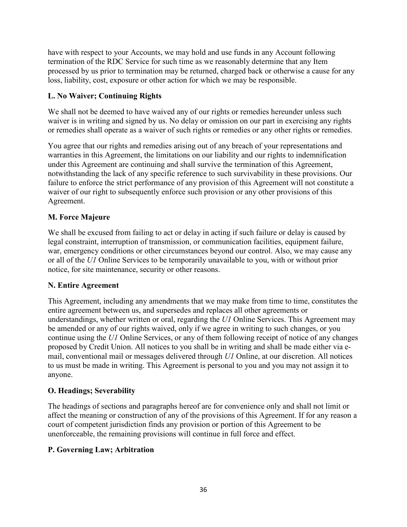have with respect to your Accounts, we may hold and use funds in any Account following termination of the RDC Service for such time as we reasonably determine that any Item processed by us prior to termination may be returned, charged back or otherwise a cause for any loss, liability, cost, exposure or other action for which we may be responsible.

### **L. No Waiver; Continuing Rights**

We shall not be deemed to have waived any of our rights or remedies hereunder unless such waiver is in writing and signed by us. No delay or omission on our part in exercising any rights or remedies shall operate as a waiver of such rights or remedies or any other rights or remedies.

You agree that our rights and remedies arising out of any breach of your representations and warranties in this Agreement, the limitations on our liability and our rights to indemnification under this Agreement are continuing and shall survive the termination of this Agreement, notwithstanding the lack of any specific reference to such survivability in these provisions. Our failure to enforce the strict performance of any provision of this Agreement will not constitute a waiver of our right to subsequently enforce such provision or any other provisions of this Agreement.

### **M. Force Majeure**

We shall be excused from failing to act or delay in acting if such failure or delay is caused by legal constraint, interruption of transmission, or communication facilities, equipment failure, war, emergency conditions or other circumstances beyond our control. Also, we may cause any or all of the *U1* Online Services to be temporarily unavailable to you, with or without prior notice, for site maintenance, security or other reasons.

#### **N. Entire Agreement**

This Agreement, including any amendments that we may make from time to time, constitutes the entire agreement between us, and supersedes and replaces all other agreements or understandings, whether written or oral, regarding the *U1* Online Services. This Agreement may be amended or any of our rights waived, only if we agree in writing to such changes, or you continue using the *U1* Online Services, or any of them following receipt of notice of any changes proposed by Credit Union. All notices to you shall be in writing and shall be made either via email, conventional mail or messages delivered through *U1* Online, at our discretion. All notices to us must be made in writing. This Agreement is personal to you and you may not assign it to anyone.

### **O. Headings; Severability**

The headings of sections and paragraphs hereof are for convenience only and shall not limit or affect the meaning or construction of any of the provisions of this Agreement. If for any reason a court of competent jurisdiction finds any provision or portion of this Agreement to be unenforceable, the remaining provisions will continue in full force and effect.

#### **P. Governing Law; Arbitration**